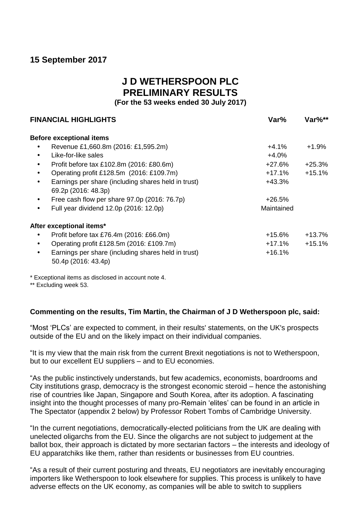# **15 September 2017**

# **J D WETHERSPOON PLC PRELIMINARY RESULTS**

**(For the 53 weeks ended 30 July 2017)**

|           | <b>FINANCIAL HIGHLIGHTS</b>                         | Var%       | Var%**   |  |
|-----------|-----------------------------------------------------|------------|----------|--|
|           | <b>Before exceptional items</b>                     |            |          |  |
|           | Revenue £1,660.8m (2016: £1,595.2m)                 | $+4.1\%$   | $+1.9\%$ |  |
|           | Like-for-like sales                                 | $+4.0%$    |          |  |
|           | Profit before tax £102.8m (2016: £80.6m)            | +27.6%     | $+25.3%$ |  |
| $\bullet$ | Operating profit £128.5m (2016: £109.7m)            | $+17.1%$   | $+15.1%$ |  |
| $\bullet$ | Earnings per share (including shares held in trust) | $+43.3%$   |          |  |
|           | 69.2p (2016: 48.3p)                                 |            |          |  |
| $\bullet$ | Free cash flow per share 97.0p (2016: 76.7p)        | $+26.5%$   |          |  |
| $\bullet$ | Full year dividend 12.0p (2016: 12.0p)              | Maintained |          |  |
|           | After exceptional items*                            |            |          |  |
|           | Profit before tax £76.4m (2016: £66.0m)             | $+15.6%$   | $+13.7%$ |  |
|           | Operating profit £128.5m (2016: £109.7m)            | $+17.1%$   | $+15.1%$ |  |
|           | Earnings per share (including shares held in trust) | $+16.1%$   |          |  |
|           | 50.4p (2016: 43.4p)                                 |            |          |  |

\* Exceptional items as disclosed in account note 4.

\*\* Excluding week 53.

## **Commenting on the results, Tim Martin, the Chairman of J D Wetherspoon plc, said:**

"Most 'PLCs' are expected to comment, in their results' statements, on the UK's prospects outside of the EU and on the likely impact on their individual companies.

"It is my view that the main risk from the current Brexit negotiations is not to Wetherspoon, but to our excellent EU suppliers – and to EU economies.

"As the public instinctively understands, but few academics, economists, boardrooms and City institutions grasp, democracy is the strongest economic steroid – hence the astonishing rise of countries like Japan, Singapore and South Korea, after its adoption. A fascinating insight into the thought processes of many pro-Remain 'elites' can be found in an article in The Spectator (appendix 2 below) by Professor Robert Tombs of Cambridge University.

"In the current negotiations, democratically-elected politicians from the UK are dealing with unelected oligarchs from the EU. Since the oligarchs are not subject to judgement at the ballot box, their approach is dictated by more sectarian factors – the interests and ideology of EU apparatchiks like them, rather than residents or businesses from EU countries.

"As a result of their current posturing and threats, EU negotiators are inevitably encouraging importers like Wetherspoon to look elsewhere for supplies. This process is unlikely to have adverse effects on the UK economy, as companies will be able to switch to suppliers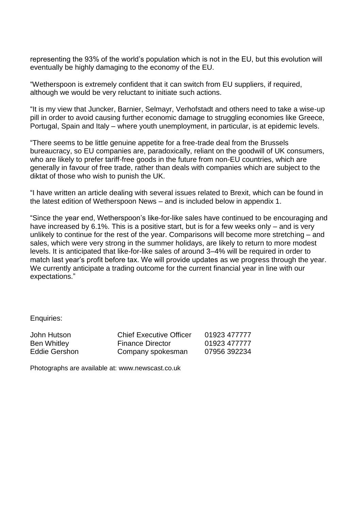representing the 93% of the world's population which is not in the EU, but this evolution will eventually be highly damaging to the economy of the EU.

"Wetherspoon is extremely confident that it can switch from EU suppliers, if required, although we would be very reluctant to initiate such actions.

"It is my view that Juncker, Barnier, Selmayr, Verhofstadt and others need to take a wise-up pill in order to avoid causing further economic damage to struggling economies like Greece, Portugal, Spain and Italy – where youth unemployment, in particular, is at epidemic levels.

"There seems to be little genuine appetite for a free-trade deal from the Brussels bureaucracy, so EU companies are, paradoxically, reliant on the goodwill of UK consumers, who are likely to prefer tariff-free goods in the future from non-EU countries, which are generally in favour of free trade, rather than deals with companies which are subject to the diktat of those who wish to punish the UK.

"I have written an article dealing with several issues related to Brexit, which can be found in the latest edition of Wetherspoon News – and is included below in appendix 1.

"Since the year end, Wetherspoon's like-for-like sales have continued to be encouraging and have increased by 6.1%. This is a positive start, but is for a few weeks only – and is very unlikely to continue for the rest of the year. Comparisons will become more stretching – and sales, which were very strong in the summer holidays, are likely to return to more modest levels. It is anticipated that like-for-like sales of around 3–4% will be required in order to match last year's profit before tax. We will provide updates as we progress through the year. We currently anticipate a trading outcome for the current financial year in line with our expectations."

Enquiries:

| John Hutson   | <b>Chief Executive Officer</b> | 01923 477777 |
|---------------|--------------------------------|--------------|
| Ben Whitley   | <b>Finance Director</b>        | 01923 477777 |
| Eddie Gershon | Company spokesman              | 07956 392234 |

Photographs are available at: www.newscast.co.uk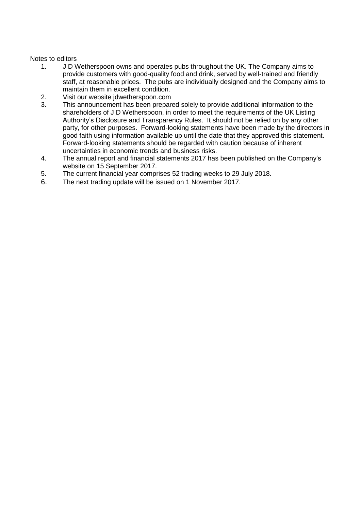## Notes to editors

- 1. J D Wetherspoon owns and operates pubs throughout the UK. The Company aims to provide customers with good-quality food and drink, served by well-trained and friendly staff, at reasonable prices. The pubs are individually designed and the Company aims to maintain them in excellent condition.
- 2. Visit our website jdwetherspoon.com
- 3. This announcement has been prepared solely to provide additional information to the shareholders of J D Wetherspoon, in order to meet the requirements of the UK Listing Authority's Disclosure and Transparency Rules. It should not be relied on by any other party, for other purposes. Forward-looking statements have been made by the directors in good faith using information available up until the date that they approved this statement. Forward-looking statements should be regarded with caution because of inherent uncertainties in economic trends and business risks.
- 4. The annual report and financial statements 2017 has been published on the Company's website on 15 September 2017.
- 5. The current financial year comprises 52 trading weeks to 29 July 2018.
- 6. The next trading update will be issued on 1 November 2017.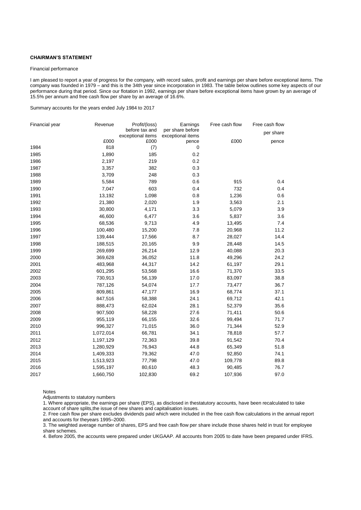## **CHAIRMAN'S STATEMENT**

#### Financial performance

I am pleased to report a year of progress for the company, with record sales, profit and earnings per share before exceptional items. The company was founded in 1979 – and this is the 34th year since incorporation in 1983. The table below outlines some key aspects of our performance during that period. Since our flotation in 1992, earnings per share before exceptional items have grown by an average of 15.5% per annum and free cash flow per share by an average of 16.6%.

Summary accounts for the years ended July 1984 to 2017

| Financial year | Revenue   | Profit/(loss)                       | Earnings                              | Free cash flow | Free cash flow |
|----------------|-----------|-------------------------------------|---------------------------------------|----------------|----------------|
|                |           | before tax and<br>exceptional items | per share before<br>exceptional items |                | per share      |
|                | £000      | £000                                | pence                                 | £000           | pence          |
| 1984           | 818       | (7)                                 | 0                                     |                |                |
| 1985           | 1,890     | 185                                 | 0.2                                   |                |                |
| 1986           | 2,197     | 219                                 | 0.2                                   |                |                |
| 1987           | 3,357     | 382                                 | 0.3                                   |                |                |
| 1988           | 3,709     | 248                                 | 0.3                                   |                |                |
| 1989           | 5,584     | 789                                 | 0.6                                   | 915            | 0.4            |
| 1990           | 7,047     | 603                                 | 0.4                                   | 732            | 0.4            |
| 1991           | 13,192    | 1,098                               | 0.8                                   | 1,236          | 0.6            |
| 1992           | 21,380    | 2,020                               | 1.9                                   | 3,563          | 2.1            |
| 1993           | 30,800    | 4,171                               | 3.3                                   | 5,079          | 3.9            |
| 1994           | 46,600    | 6,477                               | 3.6                                   | 5,837          | 3.6            |
| 1995           | 68,536    | 9,713                               | 4.9                                   | 13,495         | 7.4            |
| 1996           | 100,480   | 15,200                              | 7.8                                   | 20,968         | 11.2           |
| 1997           | 139,444   | 17,566                              | 8.7                                   | 28,027         | 14.4           |
| 1998           | 188,515   | 20,165                              | 9.9                                   | 28,448         | 14.5           |
| 1999           | 269,699   | 26,214                              | 12.9                                  | 40,088         | 20.3           |
| 2000           | 369,628   | 36,052                              | 11.8                                  | 49,296         | 24.2           |
| 2001           | 483,968   | 44,317                              | 14.2                                  | 61,197         | 29.1           |
| 2002           | 601,295   | 53,568                              | 16.6                                  | 71,370         | 33.5           |
| 2003           | 730,913   | 56,139                              | 17.0                                  | 83,097         | 38.8           |
| 2004           | 787,126   | 54,074                              | 17.7                                  | 73,477         | 36.7           |
| 2005           | 809,861   | 47,177                              | 16.9                                  | 68,774         | 37.1           |
| 2006           | 847,516   | 58,388                              | 24.1                                  | 69,712         | 42.1           |
| 2007           | 888,473   | 62,024                              | 28.1                                  | 52,379         | 35.6           |
| 2008           | 907,500   | 58,228                              | 27.6                                  | 71,411         | 50.6           |
| 2009           | 955,119   | 66,155                              | 32.6                                  | 99,494         | 71.7           |
| 2010           | 996,327   | 71,015                              | 36.0                                  | 71,344         | 52.9           |
| 2011           | 1,072,014 | 66,781                              | 34.1                                  | 78,818         | 57.7           |
| 2012           | 1,197,129 | 72,363                              | 39.8                                  | 91,542         | 70.4           |
| 2013           | 1,280,929 | 76,943                              | 44.8                                  | 65,349         | 51.8           |
| 2014           | 1,409,333 | 79,362                              | 47.0                                  | 92,850         | 74.1           |
| 2015           | 1,513,923 | 77,798                              | 47.0                                  | 109,778        | 89.8           |
| 2016           | 1,595,197 | 80,610                              | 48.3                                  | 90,485         | 76.7           |
| 2017           | 1,660,750 | 102,830                             | 69.2                                  | 107,936        | 97.0           |

Notes

Adjustments to statutory numbers

1. Where appropriate, the earnings per share (EPS), as disclosed in thestatutory accounts, have been recalculated to take account of share splits,the issue of new shares and capitalisation issues.

2. Free cash flow per share excludes dividends paid which were included in the free cash flow calculations in the annual report and accounts for theyears 1995–2000.

3. The weighted average number of shares, EPS and free cash flow per share include those shares held in trust for employee share schemes.

4. Before 2005, the accounts were prepared under UKGAAP. All accounts from 2005 to date have been prepared under IFRS.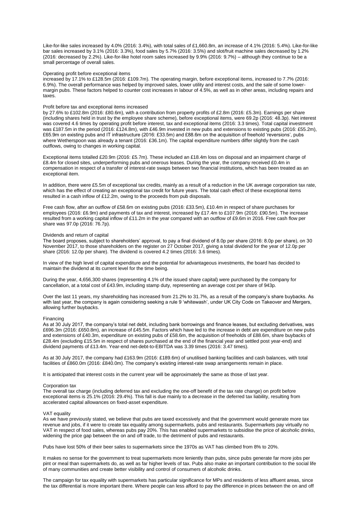Like-for-like sales increased by 4.0% (2016: 3.4%), with total sales of £1,660.8m, an increase of 4.1% (2016: 5.4%). Like-for-like bar sales increased by 3.1% (2016: 3.3%), food sales by 5.7% (2016: 3.5%) and slot/fruit machine sales decreased by 1.2% (2016: decreased by 2.2%). Like-for-like hotel room sales increased by 9.9% (2016: 9.7%) – although they continue to be a small percentage of overall sales.

## Operating profit before exceptional items

increased by 17.1% to £128.5m (2016: £109.7m). The operating margin, before exceptional items, increased to 7.7% (2016: 6.9%). The overall performance was helped by improved sales, lower utility and interest costs, and the sale of some lowermargin pubs. These factors helped to counter cost increases in labour of 4.5%, as well as in other areas, including repairs and taxes.

#### Profit before tax and exceptional items increased

by 27.6% to £102.8m (2016: £80.6m), with a contribution from property profits of £2.8m (2016: £5.3m). Earnings per share (including shares held in trust by the employee share scheme), before exceptional items, were 69.2p (2016: 48.3p). Net interest was covered 4.6 times by operating profit before interest, tax and exceptional items (2016: 3.3 times). Total capital investment was £187.5m in the period (2016: £124.8m), with £46.9m invested in new pubs and extensions to existing pubs (2016: £55.2m), £65.9m on existing pubs and IT infrastructure (2016: £33.5m) and £88.6m on the acquisition of freehold 'reversions', pubs where Wetherspoon was already a tenant (2016: £36.1m). The capital expenditure numbers differ slightly from the cash outflows, owing to changes in working capital.

Exceptional items totalled £20.9m (2016: £5.7m). These included an £18.4m loss on disposal and an impairment charge of £8.4m for closed sites, underperforming pubs and onerous leases. During the year, the company received £0.4m in compensation in respect of a transfer of interest-rate swaps between two financial institutions, which has been treated as an exceptional item.

In addition, there were £5.5m of exceptional tax credits, mainly as a result of a reduction in the UK average corporation tax rate, which has the effect of creating an exceptional tax credit for future years. The total cash effect of these exceptional items resulted in a cash inflow of £12.2m, owing to the proceeds from pub disposals.

Free cash flow, after an outflow of £58.6m on existing pubs (2016: £33.5m), £10.4m in respect of share purchases for employees (2016: £6.9m) and payments of tax and interest, increased by £17.4m to £107.9m (2016: £90.5m). The increase resulted from a working capital inflow of £11.2m in the year compared with an outflow of £9.6m in 2016. Free cash flow per share was 97.0p (2016: 76.7p).

#### Dividends and return of capital

The board proposes, subject to shareholders' approval, to pay a final dividend of 8.0p per share (2016: 8.0p per share), on 30 November 2017, to those shareholders on the register on 27 October 2017, giving a total dividend for the year of 12.0p per share (2016: 12.0p per share). The dividend is covered 4.2 times (2016: 3.6 times).

In view of the high level of capital expenditure and the potential for advantageous investments, the board has decided to maintain the dividend at its current level for the time being.

During the year, 4,656,300 shares (representing 4.1% of the issued share capital) were purchased by the company for cancellation, at a total cost of £43.9m, including stamp duty, representing an average cost per share of 943p.

Over the last 11 years, my shareholding has increased from 21.2% to 31.7%, as a result of the company's share buybacks. As with last year, the company is again considering seeking a rule 9 'whitewash', under UK City Code on Takeover and Mergers, allowing further buybacks.

#### Financing

As at 30 July 2017, the company's total net debt, including bank borrowings and finance leases, but excluding derivatives, was £696.3m (2016: £650.8m), an increase of £45.5m. Factors which have led to the increase in debt are expenditure on new pubs and extensions of £40.3m, expenditure on existing pubs of £58.6m, the acquisition of freeholds of £88.6m, share buybacks of £28.4m (excluding £15.5m in respect of shares purchased at the end of the financial year and settled post year-end) and dividend payments of £13.4m. Year-end net-debt-to-EBITDA was 3.39 times (2016: 3.47 times).

As at 30 July 2017, the company had £163.9m (2016: £189.6m) of unutilised banking facilities and cash balances, with total facilities of £860.0m (2016: £840.0m). The company's existing interest-rate swap arrangements remain in place.

It is anticipated that interest costs in the current year will be approximately the same as those of last year.

#### Corporation tax

The overall tax charge (including deferred tax and excluding the one-off benefit of the tax rate change) on profit before exceptional items is 25.1% (2016: 29.4%). This fall is due mainly to a decrease in the deferred tax liability, resulting from accelerated capital allowances on fixed-asset expenditure.

#### VAT equality

As we have previously stated, we believe that pubs are taxed excessively and that the government would generate more tax revenue and jobs, if it were to create tax equality among supermarkets, pubs and restaurants. Supermarkets pay virtually no VAT in respect of food sales, whereas pubs pay 20%. This has enabled supermarkets to subsidise the price of alcoholic drinks, widening the price gap between the on and off trade, to the detriment of pubs and restaurants.

Pubs have lost 50% of their beer sales to supermarkets since the 1970s as VAT has climbed from 8% to 20%.

It makes no sense for the government to treat supermarkets more leniently than pubs, since pubs generate far more jobs per pint or meal than supermarkets do, as well as far higher levels of tax. Pubs also make an important contribution to the social life of many communities and create better visibility and control of consumers of alcoholic drinks.

The campaign for tax equality with supermarkets has particular significance for MPs and residents of less affluent areas, since the tax differential is more important there. Where people can less afford to pay the difference in prices between the on and off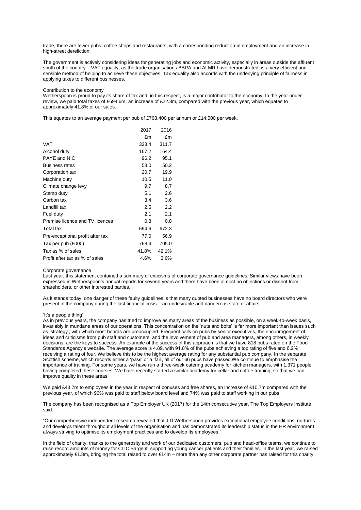trade, there are fewer pubs, coffee shops and restaurants, with a corresponding reduction in employment and an increase in high-street dereliction.

The government is actively considering ideas for generating jobs and economic activity, especially in areas outside the affluent south of the country – VAT equality, as the trade organisations BBPA and ALMR have demonstrated, is a very efficient and sensible method of helping to achieve these objectives. Tax equality also accords with the underlying principle of fairness in applying taxes to different businesses.

#### Contribution to the economy

Wetherspoon is proud to pay its share of tax and, in this respect, is a major contributor to the economy. In the year under review, we paid total taxes of £694.6m, an increase of £22.3m, compared with the previous year, which equates to approximately 41.8% of our sales.

This equates to an average payment per pub of £768,400 per annum or £14,500 per week.

| 2017  | 2016  |
|-------|-------|
| £m    | £m    |
| 323.4 | 311.7 |
| 167.2 | 164.4 |
| 96.2  | 95.1  |
| 53.0  | 50.2  |
| 20.7  | 19.9  |
| 10.5  | 11.0  |
| 9.7   | 8.7   |
| 5.1   | 2.6   |
| 3.4   | 3.6   |
| 2.5   | 2.2   |
| 2.1   | 2.1   |
| 0.8   | 0.8   |
| 694.6 | 672.3 |
| 77.0  | 56.9  |
| 768.4 | 705.0 |
| 41.8% | 42.1% |
| 4.6%  | 3.6%  |
|       |       |

#### Corporate governance

Last year, this statement contained a summary of criticisms of corporate governance guidelines. Similar views have been expressed in Wetherspoon's annual reports for several years and there have been almost no objections or dissent from shareholders, or other interested parties.

As it stands today, one danger of these faulty guidelines is that many quoted businesses have no board directors who were present in the company during the last financial crisis – an undesirable and dangerous state of affairs.

#### 'It's a people thing'

As in previous years, the company has tried to improve as many areas of the business as possible, on a week-to-week basis, invariably in mundane areas of our operations. This concentration on the 'nuts and bolts' is far more important than issues such as 'strategy', with which most boards are preoccupied. Frequent calls on pubs by senior executives, the encouragement of ideas and criticisms from pub staff and customers, and the involvement of pub and area managers, among others, in weekly decisions, are the keys to success. An example of the success of this approach is that we have 818 pubs rated on the Food Standards Agency's website. The average score is 4.89, with 91.8% of the pubs achieving a top rating of five and 6.2% receiving a rating of four. We believe this to be the highest average rating for any substantial pub company. In the separate Scottish scheme, which records either a 'pass' or a 'fail', all of our 66 pubs have passed.We continue to emphasise the importance of training. For some years, we have run a three-week catering academy for kitchen managers, with 1,371 people having completed these courses. We have recently started a similar academy for cellar and coffee training, so that we can improve quality in these areas.

We paid £43.7m to employees in the year in respect of bonuses and free shares, an increase of £10.7m compared with the previous year, of which 96% was paid to staff below board level and 74% was paid to staff working in our pubs.

The company has been recognised as a Top Employer UK (2017) for the 14th consecutive year. The Top Employers Institute said:

"Our comprehensive independent research revealed that J D Wetherspoon provides exceptional employee conditions, nurtures and develops talent throughout all levels of the organisation and has demonstrated its leadership status in the HR environment, always striving to optimise its employment practices and to develop its employees."

In the field of charity, thanks to the generosity and work of our dedicated customers, pub and head-office teams, we continue to raise record amounts of money for CLIC Sargent, supporting young cancer patients and their families. In the last year, we raised approximately £1.8m, bringing the total raised to over £14m – more than any other corporate partner has raised for this charity.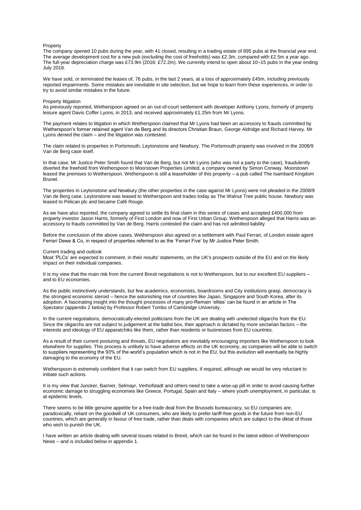#### Property

The company opened 10 pubs during the year, with 41 closed, resulting in a trading estate of 895 pubs at the financial year end. The average development cost for a new pub (excluding the cost of freeholds) was £2.3m, compared with £2.5m a year ago. The full-year depreciation charge was £73.9m (2016: £72.2m). We currently intend to open about 10–15 pubs in the year ending July 2018.

We have sold, or terminated the leases of, 76 pubs, in the last 2 years, at a loss of approximately £45m, including previously reported impairments. Some mistakes are inevitable in site selection, but we hope to learn from these experiences, in order to try to avoid similar mistakes in the future.

#### Property litigation

As previously reported, Wetherspoon agreed on an out-of-court settlement with developer Anthony Lyons, formerly of property leisure agent Davis Coffer Lyons, in 2013, and received approximately £1.25m from Mr Lyons.

The payment relates to litigation in which Wetherspoon claimed that Mr Lyons had been an accessory to frauds committed by Wetherspoon's former retained agent Van de Berg and its directors Christian Braun, George Aldridge and Richard Harvey. Mr Lyons denied the claim – and the litigation was contested.

The claim related to properties in Portsmouth, Leytonstone and Newbury. The Portsmouth property was involved in the 2008/9 Van de Berg case itself.

In that case, Mr Justice Peter Smith found that Van de Berg, but not Mr Lyons (who was not a party to the case), fraudulently diverted the freehold from Wetherspoon to Moorstown Properties Limited, a company owned by Simon Conway. Moorstown leased the premises to Wetherspoon. Wetherspoon is still a leaseholder of this property – a pub called The Isambard Kingdom Brunel.

The properties in Leytonstone and Newbury (the other properties in the case against Mr Lyons) were not pleaded in the 2008/9 Van de Berg case. Leytonstone was leased to Wetherspoon and trades today as The Walnut Tree public house. Newbury was leased to Pelican plc and became Café Rouge.

As we have also reported, the company agreed to settle its final claim in this series of cases and accepted £400,000 from property investor Jason Harris, formerly of First London and now of First Urban Group. Wetherspoon alleged that Harris was an accessory to frauds committed by Van de Berg. Harris contested the claim and has not admitted liability

Before the conclusion of the above cases, Wetherspoon also agreed on a settlement with Paul Ferrari, of London estate agent Ferrari Dewe & Co, in respect of properties referred to as the 'Ferrari Five' by Mr Justice Peter Smith.

#### Current trading and outlook

Most 'PLCs' are expected to comment, in their results' statements, on the UK's prospects outside of the EU and on the likely impact on their individual companies.

It is my view that the main risk from the current Brexit negotiations is not to Wetherspoon, but to our excellent EU suppliers and to EU economies.

As the public instinctively understands, but few academics, economists, boardrooms and City institutions grasp, democracy is the strongest economic steroid – hence the astonishing rise of countries like Japan, Singapore and South Korea, after its adoption. A fascinating insight into the thought processes of many pro-Remain 'elites' can be found in an article in The Spectator (appendix 2 below) by Professor Robert Tombs of Cambridge University.

In the current negotiations, democratically-elected politicians from the UK are dealing with unelected oligarchs from the EU. Since the oligarchs are not subject to judgement at the ballot box, their approach is dictated by more sectarian factors – the interests and ideology of EU apparatchiks like them, rather than residents or businesses from EU countries.

As a result of their current posturing and threats, EU negotiators are inevitably encouraging importers like Wetherspoon to look elsewhere for supplies. This process is unlikely to have adverse effects on the UK economy, as companies will be able to switch to suppliers representing the 93% of the world's population which is not in the EU, but this evolution will eventually be highly damaging to the economy of the EU.

Wetherspoon is extremely confident that it can switch from EU suppliers, if required, although we would be very reluctant to initiate such actions.

It is my view that Juncker, Barnier, Selmayr, Verhofstadt and others need to take a wise-up pill in order to avoid causing further economic damage to struggling economies like Greece, Portugal, Spain and Italy – where youth unemployment, in particular, is at epidemic levels.

There seems to be little genuine appetite for a free-trade deal from the Brussels bureaucracy, so EU companies are, paradoxically, reliant on the goodwill of UK consumers, who are likely to prefer tariff-free goods in the future from non-EU countries, which are generally in favour of free trade, rather than deals with companies which are subject to the diktat of those who wish to punish the UK.

I have written an article dealing with several issues related to Brexit, which can be found in the latest edition of Wetherspoon News – and is included below in appendix 1.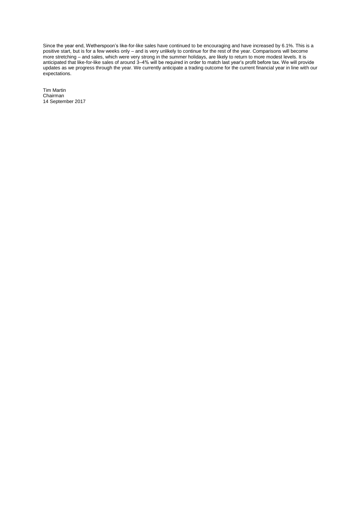Since the year end, Wetherspoon's like-for-like sales have continued to be encouraging and have increased by 6.1%. This is a positive start, but is for a few weeks only – and is very unlikely to continue for the rest of the year. Comparisons will become more stretching – and sales, which were very strong in the summer holidays, are likely to return to more modest levels. It is anticipated that like-for-like sales of around 3–4% will be required in order to match last year's profit before tax. We will provide updates as we progress through the year. We currently anticipate a trading outcome for the current financial year in line with our expectations.

Tim Martin Chairman 14 September 2017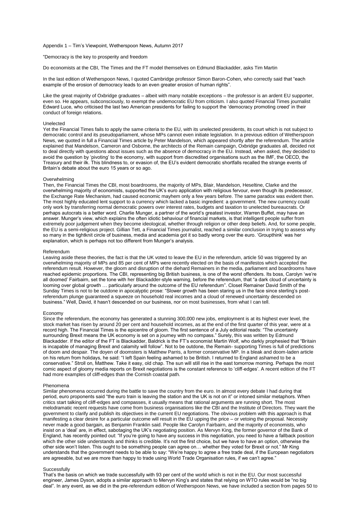Appendix 1 – Tim's Viewpoint, Wetherspoon News, Autumn 2017

"Democracy is the key to prosperity and freedom

Do economists at the CBI, The Times and the FT model themselves on Edmund Blackadder, asks Tim Martin

In the last edition of Wetherspoon News, I quoted Cambridge professor Simon Baron-Cohen, who correctly said that "each example of the erosion of democracy leads to an even greater erosion of human rights".

Like the great majority of Oxbridge graduates – albeit with many notable exceptions – the professor is an ardent EU supporter, even so. He appears, subconsciously, to exempt the undemocratic EU from criticism. I also quoted Financial Times journalist Edward Luce, who criticised the last two American presidents for failing to support the 'democracy promoting creed' in their conduct of foreign relations.

#### Unelected

Yet the Financial Times fails to apply the same criteria to the EU, with its unelected presidents, its court which is not subject to democratic control and its pseudoparliament, whose MPs cannot even initiate legislation. In a previous edition of Wetherspoon News, we quoted in full a Financial Times article by Peter Mandelson, which appeared shortly after the referendum. The article explained that Mandelson, Cameron and Osborne, the architects of the Remain campaign, Oxbridge graduates all, decided not to deal directly with questions about issues such as the absence of democracy in the EU. Instead, when asked, they decided to avoid the question by 'pivoting' to the economy, with support from discredited organisations such as the IMF, the OECD, the Treasury and their ilk. This blindness to, or evasion of, the EU's evident democratic shortfalls recalled the strange events of Britain's debate about the euro 15 years or so ago.

#### Overwhelming

Then, the Financial Times the CBI, most boardrooms, the majority of MPs, Blair, Mandelson, Heseltine, Clarke and the overwhelming majority of economists, supported the UK's euro application with religious fervour, even though its predecessor, the Exchange Rate Mechanism, had caused economic mayhem only a few years before. The same paradox was evident then. The most highly educated lent support to a currency which lacked a basic ingredient: a government. The new currency could only work by transferring normal democratic powers over interest rates, budgets and taxation to unelected bureaucrats. Or perhaps autocrats is a better word. Charlie Munger, a partner of the world's greatest investor, Warren Buffet, may have an answer. Munger's view, which explains the often idiotic behaviour of financial markets, is that intelligent people suffer from extremely poor judgement when they become ideological, whether through religion or other deep beliefs. And, for some people, the EU is a semi-religious project. Gillian Tett, a Financial Times journalist, reached a similar conclusion in trying to assess why so many in the tightknit circle of business, media and academia got it so badly wrong over the euro. 'Groupthink' was her explanation, which is perhaps not too different from Munger's analysis.

#### Referendum

Leaving aside these theories, the fact is that the UK voted to leave the EU in the referendum, article 50 was triggered by an overwhelming majority of MPs and 85 per cent of MPs were recently elected on the basis of manifestos which accepted the referendum result. However, the gloom and disruption of the diehard Remainers in the media, parliament and boardrooms have reached epidemic proportions. The CBI, representing big British business, is one of the worst offenders. Its boss, Carolyn 'we're all doomed' Fairbairn, set the tone with her Blackadder-style warning, before the referendum, that "a dark cloud of uncertainty is looming over global growth … particularly around the outcome of the EU referendum". Closet Remainer David Smith of the Sunday Times is not to be outdone in apocalyptic prose: "Slower growth has been staring us in the face since sterling's postreferendum plunge guaranteed a squeeze on household real incomes and a cloud of renewed uncertainty descended on business." Well, David, it hasn't descended on our business, nor on most businesses, from what I can tell.

#### Economy

Since the referendum, the economy has generated a stunning 300,000 new jobs, employment is at its highest ever level, the stock market has risen by around 20 per cent and household incomes, as at the end of the first quarter of this year, were at a record high. The Financial Times is the epicentre of gloom. The first sentence of a July editorial reads: "The uncertainty surrounding Brexit means the UK economy is set on a journey with no compass." Surely, this was written by Edmund Blackadder. If the editor of the FT is Blackadder, Baldrick is the FT's economist Martin Wolf, who darkly prophesied that "Britain is incapable of managing Brexit and calamity will follow". Not to be outdone, the Remain- supporting Times is full of predictions of doom and despair. The doyen of doomsters is Matthew Parris, a former conservative MP. In a bleak and doom-laden article on his return from holidays, he said: "I left Spain feeling ashamed to be British. I returned to England ashamed to be a conservative." Stroll on, Matthew. Take it easy, old chap. The sun will still rise in the east tomorrow morning. Perhaps the most comic aspect of gloomy media reports on Brexit negotiations is the constant reference to 'cliff-edges'. A recent edition of the FT had more examples of cliff-edges than the Cornish coastal path.

#### Phenomena

Similar phenomena occurred during the battle to save the country from the euro. In almost every debate I had during that period, euro proponents said "the euro train is leaving the station and the UK is not on it" or intoned similar metaphors. When critics start talking of cliff-edges and compasses, it usually means that rational arguments are running short. The most melodramatic recent requests have come from business organisations like the CBI and the Institute of Directors. They want the government to clarify and publish its objectives in the current EU negotiations. The obvious problem with this approach is that manifesting a clear desire for a particular outcome will result in the EU upping the price – or vetoing the proposal. Necessity never made a good bargain, as Benjamin Franklin said. People like Carolyn Fairbairn, and the majority of economists, who insist on a 'deal' are, in effect, sabotaging the UK's negotiating position. As Mervyn King, the former governor of the Bank of England, has recently pointed out: "If you're going to have any success in this negotiation, you need to have a fallback position which the other side understands and thinks is credible. It's not the first choice, but we have to have an option, otherwise the other side won't listen. This ought to be something people can agree on… whether they voted for Brexit or not." Mr King understands that the government needs to be able to say: "We're happy to agree a free trade deal, if the European negotiators are agreeable, but we are more than happy to trade using World Trade Organisation rules, if we can't agree."

## **Successfully**

That's the basis on which we trade successfully with 93 per cent of the world which is not in the EU. Our most successful engineer, James Dyson, adopts a similar approach to Mervyn King's and states that relying on WTO rules would be "no big deal". In any event, as we did in the pre-referendum edition of Wetherspoon News, we have included a section from pages 50 to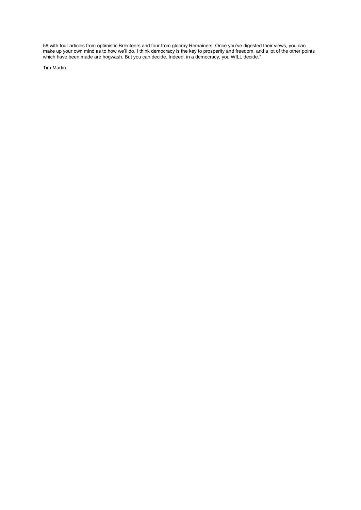58 with four articles from optimistic Brexiteers and four from gloomy Remainers. Once you've digested their views, you can make up your own mind as to how we'll do. I think democracy is the key to prosperity and freedom, and a lot of the other points which have been made are hogwash. But you can decide. Indeed, in a democracy, you WILL decide."

Tim Martin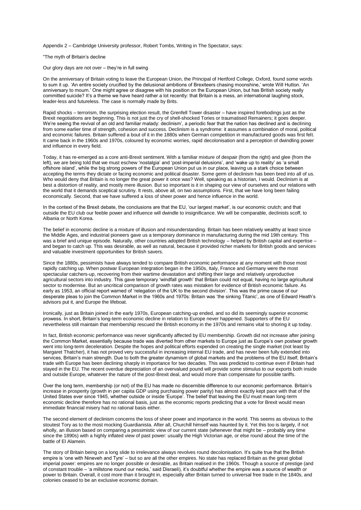Appendix 2 – Cambridge University professor, Robert Tombs, Writing in The Spectator, says:

"The myth of Britain's decline

Our glory days are not over – they're in full swing

On the anniversary of Britain voting to leave the European Union, the Principal of Hertford College, Oxford, found some words to sum it up. 'An entire society crucified by the delusional ambitions of Brexiteers chasing moonshine,' wrote Will Hutton. 'An anniversary to mourn.' One might agree or disagree with his position on the European Union, but has British society really committed suicide? It's a theme we have heard rather a lot recently: that Britain is a mess, an international laughing stock, leader-less and futureless. The case is normally made by Brits.

Rapid shocks – terrorism, the surprising election result, the Grenfell Tower disaster – have inspired forebodings just as the Brexit negotiations are beginning. This is not just the cry of shell-shocked Tories or traumatised Remainers; it goes deeper. We're seeing the revival of an old and familiar malady: declinism', a periodic fear that the nation has declined and is declining from some earlier time of strength, cohesion and success. Declinism is a syndrome: it assumes a combination of moral, political and economic failures. Britain suffered a bout of it in the 1880s when German competition in manufactured goods was first felt. It came back in the 1960s and 1970s, coloured by economic worries, rapid decolonisation and a perception of dwindling power and influence in every field.

Today, it has re-emerged as a core anti-Brexit sentiment. With a familiar mixture of despair (from the right) and glee (from the left), we are being told that we must eschew 'nostalgia' and 'post-imperial delusions', and 'wake up to reality' as 'a small offshore island', while the big strong powers of the European Union put us in our place, leaving us a stark choice between accepting the terms they dictate or facing economic and political disaster. Some germ of declinism has been bred into all of us. Who would deny that Britain is no longer the great power it once was? Well, speaking as a historian, I would. Declinism is at best a distortion of reality, and mostly mere illusion. But so important is it in shaping our view of ourselves and our relations with the world that it demands sceptical scrutiny. It rests, above all, on two assumptions. First, that we have long been failing economically. Second, that we have suffered a loss of sheer power and hence influence in the world.

In the context of the Brexit debate, the conclusions are that the EU, 'our largest market', is our economic crutch; and that outside the EU club our feeble power and influence will dwindle to insignificance. We will be comparable, declinists scoff, to Albania or North Korea.

The belief in economic decline is a mixture of illusion and misunderstanding. Britain has been relatively wealthy at least since the Middle Ages, and industrial pioneers gave us a temporary dominance in manufacturing during the mid 19th century. This was a brief and unique episode. Naturally, other countries adopted British technology – helped by British capital and expertise – and began to catch up. This was desirable, as well as natural, because it provided richer markets for British goods and services and valuable investment opportunities for British savers.

Since the 1880s, pessimists have always tended to compare British economic performance at any moment with those most rapidly catching up. When postwar European integration began in the 1950s, Italy, France and Germany were the most spectacular catchers-up, recovering from their wartime devastation and shifting their large and relatively unproductive agricultural sectors into industry. This gave temporary 'windfall growth' that Britain could not equal, having no large agricultural sector to modernise. But an uncritical comparison of growth rates was mistaken for evidence of British economic failure. As early as 1953, an official report warned of 'relegation of the UK to the second division'. This was the prime cause of our desperate pleas to join the Common Market in the 1960s and 1970s: Britain was 'the sinking Titanic', as one of Edward Heath's advisors put it, and Europe the lifeboat.

Ironically, just as Britain joined in the early 1970s, European catching-up ended, and so did its seemingly superior economic prowess. In short, Britain's long-term economic decline in relation to Europe never happened. Supporters of the EU nevertheless still maintain that membership rescued the British economy in the 1970s and remains vital to shoring it up today.

In fact, British economic performance was never significantly affected by EU membership. Growth did not increase after joining the Common Market, essentially because trade was diverted from other markets to Europe just as Europe's own postwar growth went into long-term deceleration. Despite the hopes and political efforts expended on creating the single market (not least by Margaret Thatcher), it has not proved very successful in increasing internal EU trade, and has never been fully extended into services, Britain's main strength. Due to both the greater dynamism of global markets and the problems of the EU itself, Britain's trade with Europe has been declining sharply in importance for two decades. This was predicted to continue even if Britain had stayed in the EU. The recent overdue depreciation of an overvalued pound will provide some stimulus to our exports both inside and outside Europe, whatever the nature of the post-Brexit deal, and would more than compensate for possible tariffs.

Over the long term, membership (or not) of the EU has made no discernible difference to our economic performance. Britain's increase in prosperity (growth in per capita GDP using purchasing power parity) has almost exactly kept pace with that of the United States ever since 1945, whether outside or inside 'Europe'. The belief that leaving the EU must mean long-term economic decline therefore has no rational basis, just as the economic reports predicting that a vote for Brexit would mean immediate financial misery had no rational basis either.

The second element of declinism concerns the loss of sheer power and importance in the world. This seems as obvious to the stoutest Tory as to the most mocking Guardianista. After all, Churchill himself was haunted by it. Yet this too is largely, if not wholly, an illusion based on comparing a pessimistic view of our current state (whenever that might be – probably any time since the 1890s) with a highly inflated view of past power: usually the High Victorian age, or else round about the time of the battle of El Alamein.

The story of Britain being on a long slide to irrelevance always revolves round decolonisation. It's quite true that the British empire is 'one with Nineveh and Tyre' – but so are all the other empires. No state has replaced Britain as the great global imperial power: empires are no longer possible or desirable, as Britain realised in the 1960s. Though a source of prestige (and of constant trouble – 'a millstone round our necks,' said Disraeli), it's doubtful whether the empire was a source of wealth or power to Britain. Overall, it cost more than it brought in, especially after Britain turned to universal free trade in the 1840s, and colonies ceased to be an exclusive economic domain.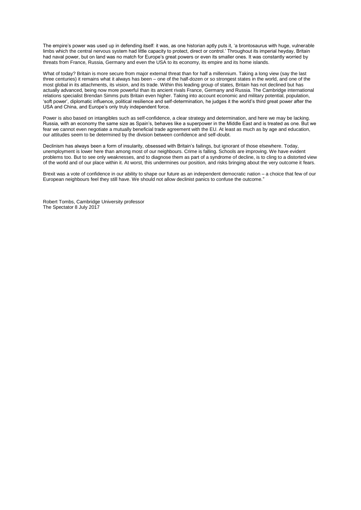The empire's power was used up in defending itself: it was, as one historian aptly puts it, 'a brontosaurus with huge, vulnerable limbs which the central nervous system had little capacity to protect, direct or control.' Throughout its imperial heyday, Britain had naval power, but on land was no match for Europe's great powers or even its smaller ones. It was constantly worried by threats from France, Russia, Germany and even the USA to its economy, its empire and its home islands.

What of today? Britain is more secure from major external threat than for half a millennium. Taking a long view (say the last three centuries) it remains what it always has been – one of the half-dozen or so strongest states in the world, and one of the most global in its attachments, its vision, and its trade. Within this leading group of states, Britain has not declined but has actually advanced, being now more powerful than its ancient rivals France, Germany and Russia. The Cambridge international relations specialist Brendan Simms puts Britain even higher. Taking into account economic and military potential, population, 'soft power', diplomatic influence, political resilience and self-determination, he judges it the world's third great power after the USA and China, and Europe's only truly independent force.

Power is also based on intangibles such as self-confidence, a clear strategy and determination, and here we may be lacking. Russia, with an economy the same size as Spain's, behaves like a superpower in the Middle East and is treated as one. But we fear we cannot even negotiate a mutually beneficial trade agreement with the EU. At least as much as by age and education, our attitudes seem to be determined by the division between confidence and self-doubt.

Declinism has always been a form of insularity, obsessed with Britain's failings, but ignorant of those elsewhere. Today, unemployment is lower here than among most of our neighbours. Crime is falling. Schools are improving. We have evident problems too. But to see only weaknesses, and to diagnose them as part of a syndrome of decline, is to cling to a distorted view of the world and of our place within it. At worst, this undermines our position, and risks bringing about the very outcome it fears.

Brexit was a vote of confidence in our ability to shape our future as an independent democratic nation – a choice that few of our European neighbours feel they still have. We should not allow declinist panics to confuse the outcome.'

Robert Tombs, Cambridge University professor The Spectator 8 July 2017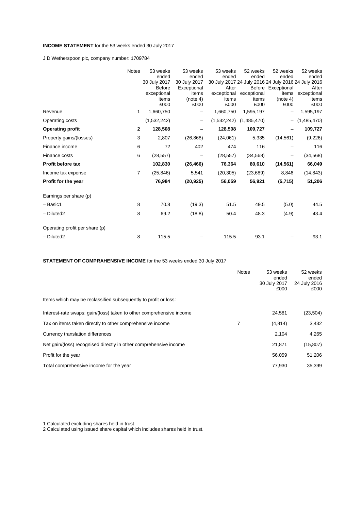## **INCOME STATEMENT** for the 53 weeks ended 30 July 2017

J D Wetherspoon plc, company number: 1709784

|                                | <b>Notes</b>   | 53 weeks      | 53 weeks     | 53 weeks    | 52 weeks    | 52 weeks                                            | 52 weeks    |
|--------------------------------|----------------|---------------|--------------|-------------|-------------|-----------------------------------------------------|-------------|
|                                |                | ended         | ended        | ended       | ended       | ended                                               | ended       |
|                                |                | 30 July 2017  | 30 July 2017 |             |             | 30 July 2017 24 July 2016 24 July 2016 24 July 2016 |             |
|                                |                | <b>Before</b> | Exceptional  | After       |             | Before Exceptional                                  | After       |
|                                |                | exceptional   | items        | exceptional | exceptional | items                                               | exceptional |
|                                |                | items         | (note 4)     | items       | items       | (note 4)                                            | items       |
|                                |                | £000          | £000         | £000        | £000        | £000                                                | £000        |
| Revenue                        | 1              | 1,660,750     |              | 1,660,750   | 1,595,197   |                                                     | 1,595,197   |
| Operating costs                |                | (1,532,242)   | -            | (1,532,242) | (1,485,470) | $\qquad \qquad -$                                   | (1,485,470) |
| <b>Operating profit</b>        | $\mathbf{2}$   | 128,508       |              | 128,508     | 109,727     |                                                     | 109,727     |
| Property gains/(losses)        | 3              | 2,807         | (26, 868)    | (24,061)    | 5,335       | (14, 561)                                           | (9, 226)    |
| Finance income                 | 6              | 72            | 402          | 474         | 116         |                                                     | 116         |
| Finance costs                  | 6              | (28, 557)     |              | (28, 557)   | (34, 568)   |                                                     | (34, 568)   |
| <b>Profit before tax</b>       |                | 102,830       | (26, 466)    | 76,364      | 80,610      | (14, 561)                                           | 66,049      |
| Income tax expense             | $\overline{7}$ | (25, 846)     | 5,541        | (20, 305)   | (23, 689)   | 8,846                                               | (14, 843)   |
| Profit for the year            |                | 76,984        | (20, 925)    | 56,059      | 56,921      | (5,715)                                             | 51,206      |
| Earnings per share (p)         |                |               |              |             |             |                                                     |             |
| - Basic1                       | 8              | 70.8          | (19.3)       | 51.5        | 49.5        | (5.0)                                               | 44.5        |
| - Diluted2                     | 8              | 69.2          | (18.8)       | 50.4        | 48.3        | (4.9)                                               | 43.4        |
| Operating profit per share (p) |                |               |              |             |             |                                                     |             |
|                                |                |               |              |             |             |                                                     |             |
| - Diluted2                     | 8              | 115.5         |              | 115.5       | 93.1        |                                                     | 93.1        |

## **STATEMENT OF COMPRAHENSIVE INCOME** for the 53 weeks ended 30 July 2017

|                                                                      | <b>Notes</b> | 53 weeks<br>ended<br>30 July 2017<br>£000 | 52 weeks<br>ended<br>24 July 2016<br>£000 |
|----------------------------------------------------------------------|--------------|-------------------------------------------|-------------------------------------------|
| Items which may be reclassified subsequently to profit or loss:      |              |                                           |                                           |
| Interest-rate swaps: gain/(loss) taken to other comprehensive income |              | 24.581                                    | (23, 504)                                 |
| Tax on items taken directly to other comprehensive income            | 7            | (4,814)                                   | 3,432                                     |
| Currency translation differences                                     |              | 2,104                                     | 4,265                                     |
| Net gain/(loss) recognised directly in other comprehensive income    |              | 21,871                                    | (15, 807)                                 |
| Profit for the year                                                  |              | 56.059                                    | 51,206                                    |
| Total comprehensive income for the year                              |              | 77.930                                    | 35,399                                    |

1 Calculated excluding shares held in trust.

2 Calculated using issued share capital which includes shares held in trust.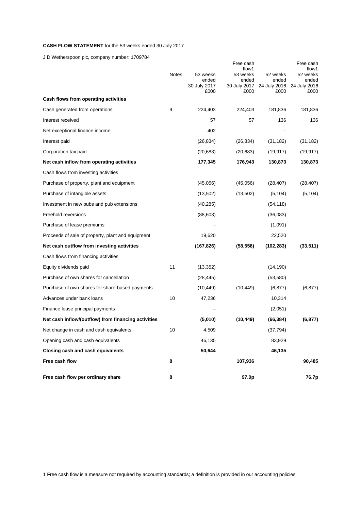## **CASH FLOW STATEMENT** for the 53 weeks ended 30 July 2017

J D Wetherspoon plc, company number: 1709784

|                                                     |       |                                           | Free cash<br>flow1                        |                                           | Free cash<br>flow1                        |
|-----------------------------------------------------|-------|-------------------------------------------|-------------------------------------------|-------------------------------------------|-------------------------------------------|
|                                                     | Notes | 53 weeks<br>ended<br>30 July 2017<br>£000 | 53 weeks<br>ended<br>30 July 2017<br>£000 | 52 weeks<br>ended<br>24 July 2016<br>£000 | 52 weeks<br>ended<br>24 July 2016<br>£000 |
| Cash flows from operating activities                |       |                                           |                                           |                                           |                                           |
| Cash generated from operations                      | 9     | 224,403                                   | 224,403                                   | 181,836                                   | 181,836                                   |
| Interest received                                   |       | 57                                        | 57                                        | 136                                       | 136                                       |
| Net exceptional finance income                      |       | 402                                       |                                           |                                           |                                           |
| Interest paid                                       |       | (26, 834)                                 | (26, 834)                                 | (31, 182)                                 | (31, 182)                                 |
| Corporation tax paid                                |       | (20, 683)                                 | (20, 683)                                 | (19, 917)                                 | (19, 917)                                 |
| Net cash inflow from operating activities           |       | 177,345                                   | 176,943                                   | 130,873                                   | 130,873                                   |
| Cash flows from investing activities                |       |                                           |                                           |                                           |                                           |
| Purchase of property, plant and equipment           |       | (45,056)                                  | (45,056)                                  | (28, 407)                                 | (28, 407)                                 |
| Purchase of intangible assets                       |       | (13,502)                                  | (13, 502)                                 | (5, 104)                                  | (5, 104)                                  |
| Investment in new pubs and pub extensions           |       | (40, 285)                                 |                                           | (54, 118)                                 |                                           |
| Freehold reversions                                 |       | (88, 603)                                 |                                           | (36,083)                                  |                                           |
| Purchase of lease premiums                          |       |                                           |                                           | (1,091)                                   |                                           |
| Proceeds of sale of property, plant and equipment   |       | 19,620                                    |                                           | 22,520                                    |                                           |
| Net cash outflow from investing activities          |       | (167, 826)                                | (58, 558)                                 | (102, 283)                                | (33, 511)                                 |
| Cash flows from financing activities                |       |                                           |                                           |                                           |                                           |
| Equity dividends paid                               | 11    | (13, 352)                                 |                                           | (14, 190)                                 |                                           |
| Purchase of own shares for cancellation             |       | (28, 445)                                 |                                           | (53, 580)                                 |                                           |
| Purchase of own shares for share-based payments     |       | (10, 449)                                 | (10, 449)                                 | (6, 877)                                  | (6, 877)                                  |
| Advances under bank loans                           | 10    | 47,236                                    |                                           | 10,314                                    |                                           |
| Finance lease principal payments                    |       |                                           |                                           | (2,051)                                   |                                           |
| Net cash inflow/(outflow) from financing activities |       | (5,010)                                   | (10, 449)                                 | (66, 384)                                 | (6, 877)                                  |
| Net change in cash and cash equivalents             | 10    | 4.509                                     |                                           | (37, 794)                                 |                                           |
| Opening cash and cash equivalents                   |       | 46,135                                    |                                           | 83,929                                    |                                           |
| Closing cash and cash equivalents                   |       | 50,644                                    |                                           | 46,135                                    |                                           |
| Free cash flow                                      | 8     |                                           | 107,936                                   |                                           | 90,485                                    |
| Free cash flow per ordinary share                   | 8     |                                           | 97.0p                                     |                                           | 76.7p                                     |

1 Free cash flow is a measure not required by accounting standards; a definition is provided in our accounting policies.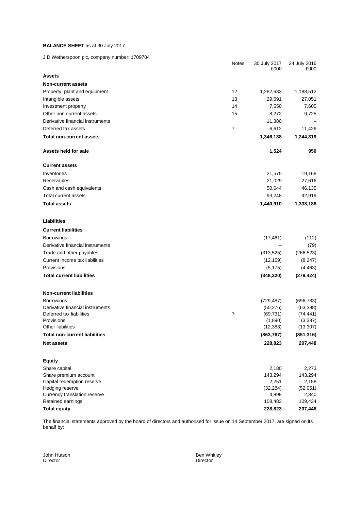## **BALANCE SHEET** as at 30 July 2017

J D Wetherspoon plc, company number: 1709784

| $\sigma$ by weakendpoon pic, company namber. Theorem | Notes | 30 July 2017<br>£000 | 24 July 2016<br>£000 |
|------------------------------------------------------|-------|----------------------|----------------------|
| <b>Assets</b>                                        |       |                      |                      |
| <b>Non-current assets</b>                            |       |                      |                      |
| Property, plant and equipment                        | 12    | 1,282,633            | 1,188,512            |
| Intangible assets                                    | 13    | 29,691               | 27,051               |
| Investment property                                  | 14    | 7,550                | 7,605                |
| Other non-current assets                             | 15    | 8,272                | 9,725                |
| Derivative financial instruments                     |       | 11,380               |                      |
| Deferred tax assets                                  | 7     | 6,612                | 11,426               |
| <b>Total non-current assets</b>                      |       | 1,346,138            | 1,244,319            |
| Assets held for sale                                 |       | 1,524                | 950                  |
| <b>Current assets</b>                                |       |                      |                      |
| Inventories                                          |       | 21,575               | 19,168               |
| Receivables                                          |       | 21,029               | 27,616               |
| Cash and cash equivalents                            |       | 50,644               | 46,135               |
| Total current assets                                 |       | 93,248               | 92,919               |
| <b>Total assets</b>                                  |       | 1,440,910            | 1,338,188            |
| Liabilities                                          |       |                      |                      |
| <b>Current liabilities</b>                           |       |                      |                      |
| <b>Borrowings</b>                                    |       | (17, 461)            | (112)                |
| Derivative financial instruments                     |       |                      | (79)                 |
| Trade and other payables                             |       | (313, 525)           | (266, 523)           |
| Current income tax liabilities                       |       | (12, 159)            | (8, 247)             |
| Provisions                                           |       | (5, 175)             | (4, 463)             |
| <b>Total current liabilities</b>                     |       | (348, 320)           | (279, 424)           |
| <b>Non-current liabilities</b>                       |       |                      |                      |
| <b>Borrowings</b>                                    |       | (729, 487)           | (696, 783)           |
| Derivative financial instruments                     |       | (50, 276)            | (63, 398)            |
| Deferred tax liabilities                             | 7     | (69, 731)            | (74, 441)            |
| Provisions                                           |       | (1,890)              | (3, 387)             |
| Other liabilities                                    |       | (12, 383)            | (13, 307)            |
| <b>Total non-current liabilities</b>                 |       | (863, 767)           | (851, 316)           |
| <b>Net assets</b>                                    |       | 228,823              | 207,448              |
| <b>Equity</b>                                        |       |                      |                      |
| Share capital                                        |       | 2,180                | 2,273                |
| Share premium account                                |       | 143,294              | 143,294              |
| Capital redemption reserve                           |       | 2,251                | 2,158                |
| Hedging reserve                                      |       | (32, 284)            | (52,051)             |
| Currency translation reserve<br>Retained earnings    |       | 4,899<br>108,483     | 2,340<br>109,434     |
| <b>Total equity</b>                                  |       | 228,823              | 207,448              |
|                                                      |       |                      |                      |

The financial statements approved by the board of directors and authorised for issue on 14 September 2017, are signed on its behalf by:

Director

John Hutson Ben Whitley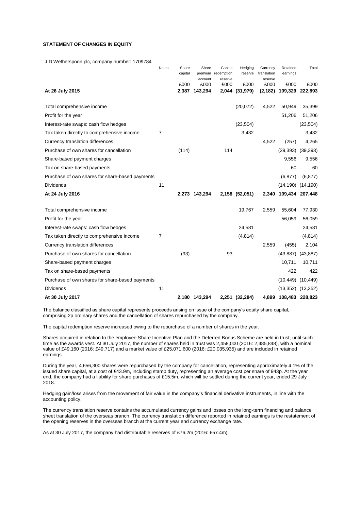## **STATEMENT OF CHANGES IN EQUITY**

J D Wetherspoon plc, company number: 1709784

|                                                 | Notes | Share   | Share         | Capital                       | Hedging        | Currency               | Retained        | Total                 |
|-------------------------------------------------|-------|---------|---------------|-------------------------------|----------------|------------------------|-----------------|-----------------------|
|                                                 |       | capital | account       | premium redemption<br>reserve | reserve        | translation<br>reserve | earnings        |                       |
|                                                 |       | £000    | £000          | £000                          | £000           | £000                   | £000            | £000                  |
| At 26 July 2015                                 |       | 2,387   | 143,294       |                               | 2,044 (31,979) | (2, 182)               | 109,329         | 222,893               |
| Total comprehensive income                      |       |         |               |                               | (20,072)       | 4,522                  | 50,949          | 35,399                |
| Profit for the year                             |       |         |               |                               |                |                        | 51,206          | 51,206                |
| Interest-rate swaps: cash flow hedges           |       |         |               |                               | (23, 504)      |                        |                 | (23, 504)             |
| Tax taken directly to comprehensive income      | 7     |         |               |                               | 3,432          |                        |                 | 3,432                 |
| Currency translation differences                |       |         |               |                               |                | 4,522                  | (257)           | 4,265                 |
| Purchase of own shares for cancellation         |       | (114)   |               | 114                           |                |                        | (39, 393)       | (39, 393)             |
| Share-based payment charges                     |       |         |               |                               |                |                        | 9,556           | 9,556                 |
| Tax on share-based payments                     |       |         |               |                               |                |                        | 60              | 60                    |
| Purchase of own shares for share-based payments |       |         |               |                               |                |                        | (6, 877)        | (6, 877)              |
| <b>Dividends</b>                                | 11    |         |               |                               |                |                        | (14, 190)       | (14, 190)             |
| At 24 July 2016                                 |       |         | 2,273 143,294 |                               | 2,158 (52,051) | 2,340                  | 109,434 207,448 |                       |
| Total comprehensive income                      |       |         |               |                               | 19,767         | 2,559                  | 55,604          | 77,930                |
| Profit for the year                             |       |         |               |                               |                |                        | 56,059          | 56,059                |
| Interest-rate swaps: cash flow hedges           |       |         |               |                               | 24,581         |                        |                 | 24,581                |
| Tax taken directly to comprehensive income      | 7     |         |               |                               | (4, 814)       |                        |                 | (4, 814)              |
| Currency translation differences                |       |         |               |                               |                | 2,559                  | (455)           | 2,104                 |
| Purchase of own shares for cancellation         |       | (93)    |               | 93                            |                |                        | (43, 887)       | (43, 887)             |
| Share-based payment charges                     |       |         |               |                               |                |                        | 10,711          | 10,711                |
| Tax on share-based payments                     |       |         |               |                               |                |                        | 422             | 422                   |
| Purchase of own shares for share-based payments |       |         |               |                               |                |                        | (10, 449)       | (10, 449)             |
| <b>Dividends</b>                                | 11    |         |               |                               |                |                        |                 | $(13,352)$ $(13,352)$ |
| At 30 July 2017                                 |       |         | 2,180 143,294 |                               | 2,251 (32,284) | 4,899                  | 108,483 228,823 |                       |

The balance classified as share capital represents proceeds arising on issue of the company's equity share capital, comprising 2p ordinary shares and the cancellation of shares repurchased by the company.

The capital redemption reserve increased owing to the repurchase of a number of shares in the year.

Shares acquired in relation to the employee Share Incentive Plan and the Deferred Bonus Scheme are held in trust, until such time as the awards vest. At 30 July 2017, the number of shares held in trust was 2,458,000 (2016: 2,485,848), with a nominal value of £49,160 (2016: £49,717) and a market value of £25,071,600 (2016: £20,035,935) and are included in retained earnings.

During the year, 4,656,300 shares were repurchased by the company for cancellation, representing approximately 4.1% of the issued share capital, at a cost of £43.9m, including stamp duty, representing an average cost per share of 943p. At the year end, the company had a liability for share purchases of £15.5m, which will be settled during the current year, ended 29 July 2018.

Hedging gain/loss arises from the movement of fair value in the company's financial derivative instruments, in line with the accounting policy.

The currency translation reserve contains the accumulated currency gains and losses on the long-term financing and balance sheet translation of the overseas branch. The currency translation difference reported in retained earnings is the restatement of the opening reserves in the overseas branch at the current year end currency exchange rate.

As at 30 July 2017, the company had distributable reserves of £76.2m (2016: £57.4m).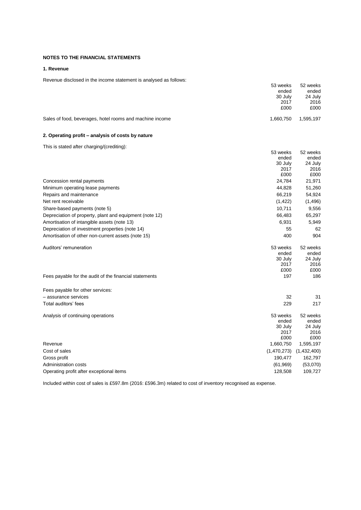## **NOTES TO THE FINANCIAL STATEMENTS**

## **1. Revenue**

## Revenue disclosed in the income statement is analysed as follows:

|                                                          | 53 weeks<br>ended<br>30 July<br>2017<br>£000 | 52 weeks<br>ended<br>24 July<br>2016<br>£000 |
|----------------------------------------------------------|----------------------------------------------|----------------------------------------------|
| Sales of food, beverages, hotel rooms and machine income | 1,660,750                                    | 1,595,197                                    |
| 2. Operating profit – analysis of costs by nature        |                                              |                                              |
| This is stated after charging/(crediting):               |                                              |                                              |
|                                                          | 53 weeks                                     | 52 weeks                                     |
|                                                          | ended                                        | ended                                        |
|                                                          | 30 July<br>2017                              | 24 July<br>2016                              |
|                                                          | £000                                         | £000                                         |
| Concession rental payments                               | 24,784                                       | 21,971                                       |
| Minimum operating lease payments                         | 44,828                                       | 51,260                                       |
| Repairs and maintenance                                  | 66,219                                       | 54,924                                       |
| Net rent receivable                                      | (1, 422)                                     | (1,496)                                      |
| Share-based payments (note 5)                            | 10,711                                       | 9,556                                        |
| Depreciation of property, plant and equipment (note 12)  | 66,483                                       | 65,297                                       |
| Amortisation of intangible assets (note 13)              | 6,931                                        | 5,949                                        |
| Depreciation of investment properties (note 14)          | 55                                           | 62                                           |
| Amortisation of other non-current assets (note 15)       | 400                                          | 904                                          |
| Auditors' remuneration                                   | 53 weeks                                     | 52 weeks                                     |
|                                                          | ended                                        | ended                                        |
|                                                          | 30 July<br>2017                              | 24 July<br>2016                              |
|                                                          | £000                                         | £000                                         |
| Fees payable for the audit of the financial statements   | 197                                          | 186                                          |
| Fees payable for other services:                         |                                              |                                              |
| - assurance services                                     | 32                                           | 31                                           |
| Total auditors' fees                                     | 229                                          | 217                                          |
| Analysis of continuing operations                        | 53 weeks                                     | 52 weeks                                     |
|                                                          | ended                                        | ended                                        |
|                                                          | 30 July<br>2017                              | 24 July<br>2016                              |
|                                                          | £000                                         | £000                                         |
| Revenue                                                  | 1,660,750                                    | 1,595,197                                    |
| Cost of sales                                            | (1,470,273)                                  | (1,432,400)                                  |
| Gross profit                                             | 190,477                                      | 162,797                                      |
| Administration costs                                     | (61, 969)                                    | (53,070)                                     |
| Operating profit after exceptional items                 | 128,508                                      | 109,727                                      |

Included within cost of sales is £597.8m (2016: £596.3m) related to cost of inventory recognised as expense.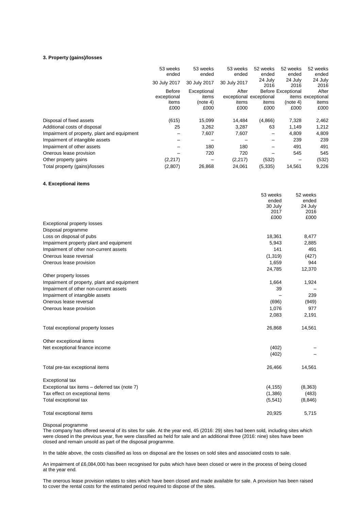## **3. Property (gains)/losses**

|                                             | 53 weeks<br>ended | 53 weeks<br>ended | 53 weeks<br>ended       | 52 weeks<br>ended | 52 weeks<br>ended         | 52 weeks<br>ended |
|---------------------------------------------|-------------------|-------------------|-------------------------|-------------------|---------------------------|-------------------|
|                                             | 30 July 2017      | 30 July 2017      | 30 July 2017            | 24 July<br>2016   | 24 July<br>2016           | 24 July<br>2016   |
|                                             | <b>Before</b>     | Exceptional       | After                   |                   | <b>Before Exceptional</b> | After             |
|                                             | exceptional       | items             | exceptional exceptional |                   |                           | items exceptional |
|                                             | items             | (note 4)          | items                   | items             | (note 4)                  | items             |
|                                             | £000              | £000              | £000                    | £000              | £000                      | £000              |
|                                             |                   |                   |                         |                   |                           |                   |
| Disposal of fixed assets                    | (615)             | 15,099            | 14,484                  | (4,866)           | 7,328                     | 2,462             |
| Additional costs of disposal                | 25                | 3,262             | 3,287                   | 63                | 1,149                     | 1,212             |
| Impairment of property, plant and equipment |                   | 7,607             | 7,607                   | -                 | 4.809                     | 4,809             |
| Impairment of intangible assets             |                   |                   |                         |                   | 239                       | 239               |
| Impairment of other assets                  |                   | 180               | 180                     |                   | 491                       | 491               |
| Onerous lease provision                     |                   | 720               | 720                     |                   | 545                       | 545               |
| Other property gains                        | (2,217)           |                   | (2, 217)                | (532)             |                           | (532)             |
| Total property (gains)/losses               | (2,807)           | 26,868            | 24,061                  | (5, 335)          | 14.561                    | 9,226             |

## **4. Exceptional items**

|                                               | 53 weeks | 52 weeks |
|-----------------------------------------------|----------|----------|
|                                               | ended    | ended    |
|                                               | 30 July  | 24 July  |
|                                               | 2017     | 2016     |
| <b>Exceptional property losses</b>            | £000     | £000     |
| Disposal programme                            |          |          |
| Loss on disposal of pubs                      | 18,361   | 8,477    |
| Impairment property plant and equipment       | 5,943    | 2,885    |
| Impairment of other non-current assets        | 141      | 491      |
| Onerous lease reversal                        | (1, 319) | (427)    |
|                                               |          | 944      |
| Onerous lease provision                       | 1,659    |          |
|                                               | 24,785   | 12,370   |
| Other property losses                         |          |          |
| Impairment of property, plant and equipment   | 1,664    | 1,924    |
| Impairment of other non-current assets        | 39       |          |
| Impairment of intangible assets               |          | 239      |
| Onerous lease reversal                        | (696)    | (949)    |
| Onerous lease provision                       | 1,076    | 977      |
|                                               | 2,083    | 2,191    |
| Total exceptional property losses             | 26,868   | 14,561   |
| Other exceptional items                       |          |          |
| Net exceptional finance income                | (402)    |          |
|                                               | (402)    |          |
| Total pre-tax exceptional items               | 26,466   | 14,561   |
| Exceptional tax                               |          |          |
| Exceptional tax items - deferred tax (note 7) | (4, 155) | (8, 363) |
| Tax effect on exceptional items               | (1,386)  | (483)    |
| Total exceptional tax                         | (5,541)  | (8, 846) |
|                                               |          |          |
| Total exceptional items                       | 20,925   | 5,715    |

Disposal programme

The company has offered several of its sites for sale. At the year end, 45 (2016: 29) sites had been sold, including sites which were closed in the previous year, five were classified as held for sale and an additional three (2016: nine) sites have been closed and remain unsold as part of the disposal programme.

In the table above, the costs classified as loss on disposal are the losses on sold sites and associated costs to sale.

An impairment of £6,084,000 has been recognised for pubs which have been closed or were in the process of being closed at the year end.

The onerous lease provision relates to sites which have been closed and made available for sale. A provision has been raised to cover the rental costs for the estimated period required to dispose of the sites.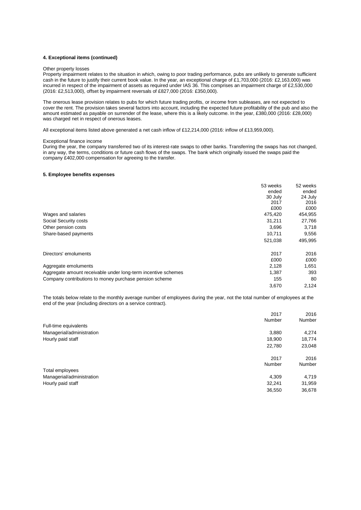#### **4. Exceptional items (continued)**

#### Other property losses

Property impairment relates to the situation in which, owing to poor trading performance, pubs are unlikely to generate sufficient cash in the future to justify their current book value. In the year, an exceptional charge of £1,703,000 (2016: £2,163,000) was incurred in respect of the impairment of assets as required under IAS 36. This comprises an impairment charge of £2,530,000 (2016: £2,513,000), offset by impairment reversals of £827,000 (2016: £350,000).

The onerous lease provision relates to pubs for which future trading profits, or income from subleases, are not expected to cover the rent. The provision takes several factors into account, including the expected future profitability of the pub and also the amount estimated as payable on surrender of the lease, where this is a likely outcome. In the year, £380,000 (2016: £28,000) was charged net in respect of onerous leases.

All exceptional items listed above generated a net cash inflow of £12,214,000 (2016: inflow of £13,959,000).

#### Exceptional finance income

During the year, the company transferred two of its interest-rate swaps to other banks. Transferring the swaps has not changed, in any way, the terms, conditions or future cash flows of the swaps. The bank which originally issued the swaps paid the company £402,000 compensation for agreeing to the transfer.

#### **5. Employee benefits expenses**

|                                                               | 53 weeks | 52 weeks |
|---------------------------------------------------------------|----------|----------|
|                                                               | ended    | ended    |
|                                                               | 30 July  | 24 July  |
|                                                               | 2017     | 2016     |
|                                                               | £000     | £000     |
| Wages and salaries                                            | 475,420  | 454,955  |
| Social Security costs                                         | 31,211   | 27,766   |
| Other pension costs                                           | 3,696    | 3,718    |
| Share-based payments                                          | 10.711   | 9,556    |
|                                                               | 521,038  | 495,995  |
| Directors' emoluments                                         | 2017     | 2016     |
|                                                               | £000     | £000     |
| Aggregate emoluments                                          | 2,128    | 1,651    |
| Aggregate amount receivable under long-term incentive schemes | 1,387    | 393      |
| Company contributions to money purchase pension scheme        | 155      | 80       |
|                                                               | 3,670    | 2,124    |

The totals below relate to the monthly average number of employees during the year, not the total number of employees at the end of the year (including directors on a service contract).

|                           | 2017          | 2016   |
|---------------------------|---------------|--------|
|                           | <b>Number</b> | Number |
| Full-time equivalents     |               |        |
| Managerial/administration | 3,880         | 4,274  |
| Hourly paid staff         | 18,900        | 18,774 |
|                           | 22,780        | 23,048 |
|                           | 2017          | 2016   |
|                           | Number        | Number |
| Total employees           |               |        |
| Managerial/administration | 4,309         | 4,719  |
| Hourly paid staff         | 32,241        | 31,959 |
|                           | 36,550        | 36,678 |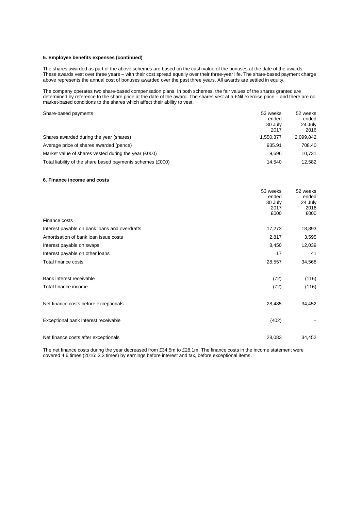#### **5. Employee benefits expenses (continued)**

The shares awarded as part of the above schemes are based on the cash value of the bonuses at the date of the awards. These awards vest over three years – with their cost spread equally over their three-year life. The share-based payment charge above represents the annual cost of bonuses awarded over the past three years. All awards are settled in equity.

The company operates two share-based compensation plans. In both schemes, the fair values of the shares granted are determined by reference to the share price at the date of the award. The shares vest at a £Nil exercise price – and there are no market-based conditions to the shares which affect their ability to vest.

| Share-based payments                                       | 53 weeks<br>ended<br>30 July<br>2017 | 52 weeks<br>ended<br>24 July<br>2016 |
|------------------------------------------------------------|--------------------------------------|--------------------------------------|
| Shares awarded during the year (shares)                    | 1.550.377                            | 2,099,842                            |
| Average price of shares awarded (pence)                    | 935.91                               | 708.40                               |
| Market value of shares vested during the year (£000)       | 9.696                                | 10.731                               |
| Total liability of the share based payments schemes (£000) | 14.540                               | 12.582                               |

#### **6. Finance income and costs**

|                                               | 53 weeks | 52 weeks |
|-----------------------------------------------|----------|----------|
|                                               | ended    | ended    |
|                                               | 30 July  | 24 July  |
|                                               | 2017     | 2016     |
|                                               | £000     | £000     |
| Finance costs                                 |          |          |
| Interest payable on bank loans and overdrafts | 17,273   | 18,893   |
| Amortisation of bank loan issue costs         | 2,817    | 3,595    |
| Interest payable on swaps                     | 8,450    | 12,039   |
| Interest payable on other loans               | 17       | 41       |
| Total finance costs                           | 28,557   | 34,568   |
| Bank interest receivable                      | (72)     | (116)    |
| Total finance income                          | (72)     | (116)    |
| Net finance costs before exceptionals         | 28,485   | 34,452   |
| Exceptional bank interest receivable          | (402)    |          |
| Net finance costs after exceptionals          | 28,083   | 34,452   |

The net finance costs during the year decreased from £34.5m to £28.1m. The finance costs in the income statement were covered 4.6 times (2016: 3.3 times) by earnings before interest and tax, before exceptional items.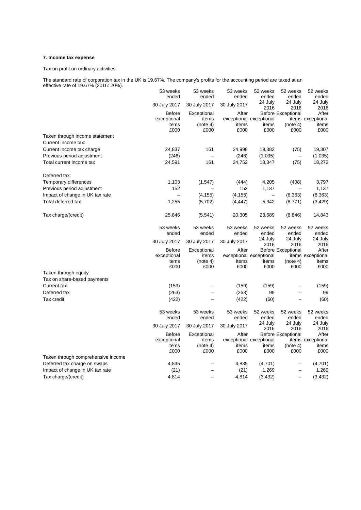## **7. Income tax expense**

Tax on profit on ordinary activities

The standard rate of corporation tax in the UK is 19.67%. The company's profits for the accounting period are taxed at an effective rate of 19.67% (2016: 20%).

|                                    | 53 weeks      | 53 weeks         | 53 weeks      | 52 weeks                | 52 weeks                  | 52 weeks          |
|------------------------------------|---------------|------------------|---------------|-------------------------|---------------------------|-------------------|
|                                    | ended         | ended            | ended         | ended                   | ended                     | ended             |
|                                    | 30 July 2017  | 30 July 2017     | 30 July 2017  | 24 July<br>2016         | 24 July<br>2016           | 24 July<br>2016   |
|                                    | <b>Before</b> | Exceptional      | After         |                         | <b>Before Exceptional</b> | After             |
|                                    | exceptional   | items            |               | exceptional exceptional |                           | items exceptional |
|                                    | items<br>£000 | (note 4)<br>£000 | items<br>£000 | items<br>£000           | (note 4)<br>£000          | items<br>£000     |
| Taken through income statement     |               |                  |               |                         |                           |                   |
|                                    |               |                  |               |                         |                           |                   |
| Current income tax:                |               |                  |               |                         |                           |                   |
| Current income tax charge          | 24,837        | 161              | 24,998        | 19,382                  | (75)                      | 19,307            |
| Previous period adjustment         | (246)         | $\equiv$         | (246)         | (1,035)                 | $\qquad \qquad -$         | (1,035)           |
| Total current income tax           | 24,591        | 161              | 24,752        | 18,347                  | (75)                      | 18,272            |
| Deferred tax:                      |               |                  |               |                         |                           |                   |
| Temporary differences              | 1,103         | (1, 547)         | (444)         | 4,205                   | (408)                     | 3,797             |
| Previous period adjustment         | 152           |                  | 152           | 1,137                   |                           | 1,137             |
| Impact of change in UK tax rate    |               | (4, 155)         | (4, 155)      |                         | (8, 363)                  | (8, 363)          |
| Total deferred tax                 | 1,255         | (5,702)          | (4, 447)      | 5,342                   | (8,771)                   | (3, 429)          |
|                                    |               |                  |               |                         |                           |                   |
| Tax charge/(credit)                | 25,846        | (5,541)          | 20,305        | 23,689                  | (8, 846)                  | 14,843            |
|                                    | 53 weeks      | 53 weeks         | 53 weeks      | 52 weeks                | 52 weeks                  | 52 weeks          |
|                                    | ended         | ended            | ended         | ended                   | ended                     | ended             |
|                                    |               |                  |               | 24 July                 | 24 July                   | 24 July           |
|                                    | 30 July 2017  | 30 July 2017     | 30 July 2017  | 2016                    | 2016                      | 2016              |
|                                    | <b>Before</b> | Exceptional      | After         |                         | <b>Before Exceptional</b> | After             |
|                                    | exceptional   | items            |               | exceptional exceptional |                           | items exceptional |
|                                    | items         | (note 4)         | items         | items                   | (note 4)                  | items             |
|                                    | £000          | £000             | £000          | £000                    | £000                      | £000              |
| Taken through equity               |               |                  |               |                         |                           |                   |
| Tax on share-based payments        |               |                  |               |                         |                           |                   |
| Current tax                        | (159)         |                  | (159)         | (159)                   |                           | (159)             |
| Deferred tax                       | (263)         |                  | (263)         | 99                      |                           | 99                |
| Tax credit                         | (422)         |                  | (422)         | (60)                    |                           | (60)              |
|                                    | 53 weeks      | 53 weeks         | 53 weeks      | 52 weeks                | 52 weeks                  | 52 weeks          |
|                                    | ended         | ended            | ended         | ended                   | ended                     | ended             |
|                                    |               |                  |               | 24 July                 | 24 July                   | 24 July           |
|                                    | 30 July 2017  | 30 July 2017     | 30 July 2017  | 2016                    | 2016                      | 2016              |
|                                    | <b>Before</b> | Exceptional      | After         |                         | <b>Before Exceptional</b> | After             |
|                                    | exceptional   | items            |               | exceptional exceptional |                           | items exceptional |
|                                    | items         | (note 4)         | items         | items                   | (note 4)                  | items             |
|                                    | £000          | £000             | £000          | £000                    | £000                      | £000              |
| Taken through comprehensive income |               |                  |               |                         |                           |                   |
| Deferred tax charge on swaps       | 4,835         |                  | 4,835         | (4,701)                 |                           | (4,701)           |
| Impact of change in UK tax rate    | (21)          |                  | (21)          | 1,269                   |                           | 1,269             |
| Tax charge/(credit)                | 4,814         |                  | 4,814         | (3, 432)                |                           | (3, 432)          |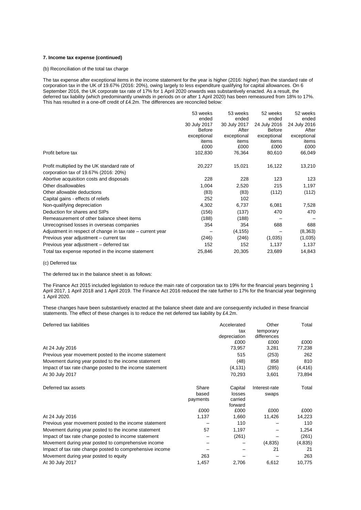## **7. Income tax expense (continued)**

(b) Reconciliation of the total tax charge

The tax expense after exceptional items in the income statement for the year is higher (2016: higher) than the standard rate of corporation tax in the UK of 19.67% (2016: 20%), owing largely to less expenditure qualifying for capital allowances. On 6 September 2016, the UK corporate tax rate of 17% for 1 April 2020 onwards was substantively enacted. As a result, the deferred tax liability (which predominantly unwinds in periods on or after 1 April 2020) has been remeasured from 18% to 17%. This has resulted in a one-off credit of £4.2m. The differences are reconciled below:

|                                                            | 53 weeks      | 53 weeks     | 52 weeks      | 52 weeks     |
|------------------------------------------------------------|---------------|--------------|---------------|--------------|
|                                                            | ended         | ended        | ended         | ended        |
|                                                            | 30 July 2017  | 30 July 2017 | 24 July 2016  | 24 July 2016 |
|                                                            | <b>Before</b> | After        | <b>Before</b> | After        |
|                                                            | exceptional   | exceptional  | exceptional   | exceptional  |
|                                                            | items         | items        | items         | items        |
|                                                            | £000          | £000         | £000          | £000         |
| Profit before tax                                          | 102,830       | 76,364       | 80,610        | 66,049       |
| Profit multiplied by the UK standard rate of               | 20,227        | 15,021       | 16,122        | 13,210       |
|                                                            |               |              |               |              |
| corporation tax of 19.67% (2016: 20%)                      |               |              |               |              |
| Abortive acquisition costs and disposals                   | 228           | 228          | 123           | 123          |
| Other disallowables                                        | 1,004         | 2,520        | 215           | 1,197        |
| Other allowable deductions                                 | (83)          | (83)         | (112)         | (112)        |
| Capital gains - effects of reliefs                         | 252           | 102          |               |              |
| Non-qualifying depreciation                                | 4,302         | 6,737        | 6,081         | 7,528        |
| Deduction for shares and SIPs                              | (156)         | (137)        | 470           | 470          |
| Remeasurement of other balance sheet items                 | (188)         | (188)        |               |              |
| Unrecognised losses in overseas companies                  | 354           | 354          | 688           | 688          |
| Adjustment in respect of change in tax rate – current year |               | (4, 155)     |               | (8, 363)     |
| Previous year adjustment – current tax                     | (246)         | (246)        | (1,035)       | (1,035)      |
| Previous year adjustment – deferred tax                    | 152           | 152          | 1,137         | 1,137        |
| Total tax expense reported in the income statement         | 25,846        | 20,305       | 23,689        | 14,843       |

(c) Deferred tax

The deferred tax in the balance sheet is as follows:

The Finance Act 2015 included legislation to reduce the main rate of corporation tax to 19% for the financial years beginning 1 April 2017, 1 April 2018 and 1 April 2019. The Finance Act 2016 reduced the rate further to 17% for the financial year beginning 1 April 2020.

These changes have been substantively enacted at the balance sheet date and are consequently included in these financial statements. The effect of these changes is to reduce the net deferred tax liability by £4.2m.

| Deferred tax liabilities                                 |          | Accelerated        | Other         | Total    |
|----------------------------------------------------------|----------|--------------------|---------------|----------|
|                                                          |          | tax                | temporary     |          |
|                                                          |          | depreciation       | differences   |          |
|                                                          |          | £000               | £000          | £000     |
| At 24 July 2016                                          |          | 73,957             | 3,281         | 77,238   |
| Previous year movement posted to the income statement    |          | 515                | (253)         | 262      |
| Movement during year posted to the income statement      |          | (48)               | 858           | 810      |
| Impact of tax rate change posted to the income statement |          | (4, 131)           | (285)         | (4, 416) |
| At 30 July 2017                                          |          | 70,293             | 3,601         | 73,894   |
| Deferred tax assets                                      | Share    | Capital            | Interest-rate | Total    |
|                                                          | based    | losses             | swaps         |          |
|                                                          | payments | carried<br>forward |               |          |
|                                                          | £000     | £000               | £000          | £000     |
| At 24 July 2016                                          | 1,137    | 1,660              | 11,426        | 14,223   |
| Previous year movement posted to the income statement    |          | 110                |               | 110      |
| Movement during year posted to the income statement      | 57       | 1,197              |               | 1,254    |
| Impact of tax rate change posted to income statement     |          | (261)              |               | (261)    |
| Movement during year posted to comprehensive income      |          |                    | (4,835)       | (4,835)  |
| Impact of tax rate change posted to comprehensive income |          |                    | 21            | 21       |
| Movement during year posted to equity                    | 263      |                    |               | 263      |
| At 30 July 2017                                          | 1,457    | 2,706              | 6,612         | 10,775   |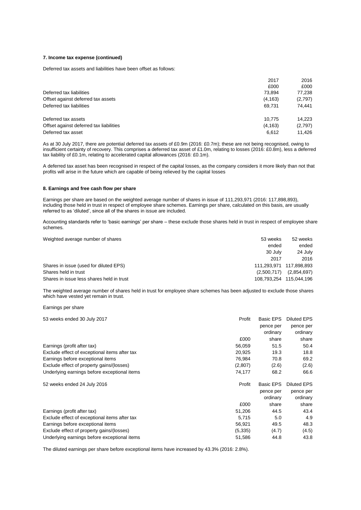## **7. Income tax expense (continued)**

Deferred tax assets and liabilities have been offset as follows:

|                                         | 2017     | 2016    |
|-----------------------------------------|----------|---------|
|                                         | £000     | £000    |
| Deferred tax liabilities                | 73.894   | 77,238  |
| Offset against deferred tax assets      | (4, 163) | (2,797) |
| Deferred tax liabilities                | 69.731   | 74.441  |
| Deferred tax assets                     | 10.775   | 14.223  |
| Offset against deferred tax liabilities | (4, 163) | (2,797) |
| Deferred tax asset                      | 6.612    | 11.426  |

As at 30 July 2017, there are potential deferred tax assets of £0.9m (2016: £0.7m); these are not being recognised, owing to insufficient certainty of recovery. This comprises a deferred tax asset of £1.0m, relating to losses (2016: £0.8m), less a deferred tax liability of £0.1m, relating to accelerated capital allowances (2016: £0.1m).

A deferred tax asset has been recognised in respect of the capital losses, as the company considers it more likely than not that profits will arise in the future which are capable of being relieved by the capital losses

## **8. Earnings and free cash flow per share**

Earnings per share are based on the weighted average number of shares in issue of 111,293,971 (2016: 117,898,893), including those held in trust in respect of employee share schemes. Earnings per share, calculated on this basis, are usually referred to as 'diluted', since all of the shares in issue are included.

Accounting standards refer to 'basic earnings' per share – these exclude those shares held in trust in respect of employee share schemes.

| Weighted average number of shares         | 53 weeks    | 52 weeks                |
|-------------------------------------------|-------------|-------------------------|
|                                           | ended       | ended                   |
|                                           | 30 July     | 24 July                 |
|                                           | 2017        | 2016                    |
| Shares in issue (used for diluted EPS)    |             | 111.293.971 117.898.893 |
| Shares held in trust                      | (2,500,717) | (2,854,697)             |
| Shares in issue less shares held in trust |             | 108,793,254 115,044,196 |

The weighted average number of shares held in trust for employee share schemes has been adjusted to exclude those shares which have vested yet remain in trust.

Earnings per share

| 53 weeks ended 30 July 2017                   | Profit   | <b>Basic EPS</b> | Diluted EPS |
|-----------------------------------------------|----------|------------------|-------------|
|                                               |          | pence per        | pence per   |
|                                               |          | ordinary         | ordinary    |
|                                               | £000     | share            | share       |
| Earnings (profit after tax)                   | 56,059   | 51.5             | 50.4        |
| Exclude effect of exceptional items after tax | 20,925   | 19.3             | 18.8        |
| Earnings before exceptional items             | 76,984   | 70.8             | 69.2        |
| Exclude effect of property gains/(losses)     | (2,807)  | (2.6)            | (2.6)       |
| Underlying earnings before exceptional items  | 74,177   | 68.2             | 66.6        |
| 52 weeks ended 24 July 2016                   | Profit   | <b>Basic EPS</b> | Diluted EPS |
|                                               |          | pence per        | pence per   |
|                                               |          | ordinary         | ordinary    |
|                                               | £000     | share            | share       |
| Earnings (profit after tax)                   | 51,206   | 44.5             | 43.4        |
| Exclude effect of exceptional items after tax | 5.715    | 5.0              | 4.9         |
| Earnings before exceptional items             | 56,921   | 49.5             | 48.3        |
| Exclude effect of property gains/(losses)     | (5, 335) | (4.7)            | (4.5)       |
| Underlying earnings before exceptional items  | 51,586   | 44.8             | 43.8        |

The diluted earnings per share before exceptional items have increased by 43.3% (2016: 2.8%).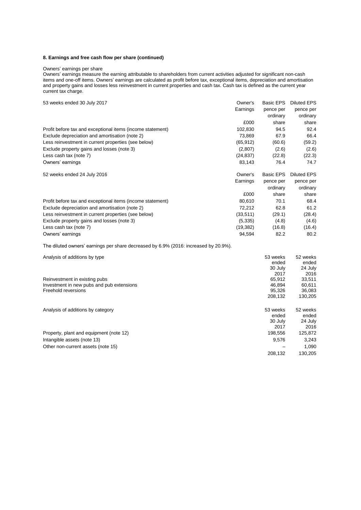## **8. Earnings and free cash flow per share (continued)**

#### Owners' earnings per share

Owners' earnings measure the earning attributable to shareholders from current activities adjusted for significant non-cash items and one-off items. Owners' earnings are calculated as profit before tax, exceptional items, depreciation and amortisation and property gains and losses less reinvestment in current properties and cash tax. Cash tax is defined as the current year current tax charge.

| 53 weeks ended 30 July 2017                                | Owner's   | <b>Basic EPS</b> | <b>Diluted EPS</b> |
|------------------------------------------------------------|-----------|------------------|--------------------|
|                                                            | Earnings  | pence per        | pence per          |
|                                                            |           | ordinary         | ordinary           |
|                                                            | £000      | share            | share              |
| Profit before tax and exceptional items (income statement) | 102,830   | 94.5             | 92.4               |
| Exclude depreciation and amortisation (note 2)             | 73.869    | 67.9             | 66.4               |
| Less reinvestment in current properties (see below)        | (65, 912) | (60.6)           | (59.2)             |
| Exclude property gains and losses (note 3)                 | (2,807)   | (2.6)            | (2.6)              |
| Less cash tax (note 7)                                     | (24, 837) | (22.8)           | (22.3)             |
| Owners' earnings                                           | 83,143    | 76.4             | 74.7               |
| 52 weeks ended 24 July 2016                                | Owner's   | <b>Basic EPS</b> | <b>Diluted EPS</b> |
|                                                            | Earnings  | pence per        | pence per          |
|                                                            |           | ordinary         | ordinary           |
|                                                            | £000      | share            | share              |
| Profit before tax and exceptional items (income statement) | 80,610    | 70.1             | 68.4               |
| Exclude depreciation and amortisation (note 2)             | 72,212    | 62.8             | 61.2               |
| Less reinvestment in current properties (see below)        | (33, 511) | (29.1)           | (28.4)             |
| Exclude property gains and losses (note 3)                 | (5, 335)  | (4.8)            | (4.6)              |
| Less cash tax (note 7)                                     | (19, 382) | (16.8)           | (16.4)             |
| Owners' earnings                                           | 94,594    | 82.2             | 80.2               |

The diluted owners' earnings per share decreased by 6.9% (2016: increased by 20.9%).

| Analysis of additions by type             | 53 weeks | 52 weeks |
|-------------------------------------------|----------|----------|
|                                           | ended    | ended    |
|                                           | 30 July  | 24 July  |
|                                           | 2017     | 2016     |
| Reinvestment in existing pubs             | 65.912   | 33,511   |
| Investment in new pubs and pub extensions | 46.894   | 60,611   |
| Freehold reversions                       | 95.326   | 36,083   |
|                                           | 208.132  | 130,205  |
| Analysis of additions by category         | 53 weeks | 52 weeks |
|                                           | ended    | ended    |
|                                           | 30 July  | 24 July  |
|                                           | 2017     | 2016     |
| Property, plant and equipment (note 12)   | 198,556  | 125,872  |
| Intangible assets (note 13)               | 9,576    | 3,243    |
| Other non-current assets (note 15)        |          | 1,090    |
|                                           | 208.132  | 130,205  |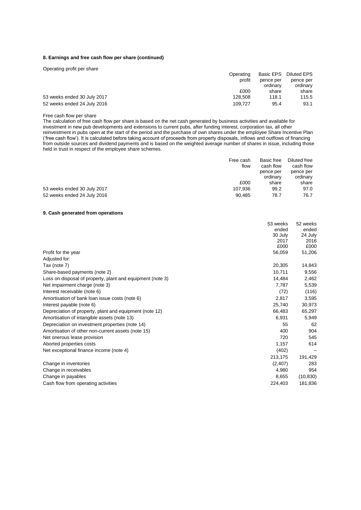## **8. Earnings and free cash flow per share (continued)**

| Operating profit per share  |           |           |                    |
|-----------------------------|-----------|-----------|--------------------|
|                             | Operating | Basic EPS | <b>Diluted EPS</b> |
|                             | profit    | pence per | pence per          |
|                             |           | ordinary  | ordinary           |
|                             | £000      | share     | share              |
| 53 weeks ended 30 July 2017 | 128.508   | 118.1     | 115.5              |
| 52 weeks ended 24 July 2016 | 109.727   | 95.4      | 93.1               |

## Free cash flow per share

The calculation of free cash flow per share is based on the net cash generated by business activities and available for investment in new pub developments and extensions to current pubs, after funding interest, corporation tax, all other reinvestment in pubs open at the start of the period and the purchase of own shares under the employee Share Incentive Plan ('free cash flow'). It is calculated before taking account of proceeds from property disposals, inflows and outflows of financing from outside sources and dividend payments and is based on the weighted average number of shares in issue, including those held in trust in respect of the employee share schemes.

|                             | Free cash | Basic free | Diluted free |
|-----------------------------|-----------|------------|--------------|
|                             | flow      | cash flow  | cash flow    |
|                             |           | pence per  | pence per    |
|                             |           | ordinary   | ordinary     |
|                             | £000      | share      | share        |
| 53 weeks ended 30 July 2017 | 107.936   | 99.2       | 97.0         |
| 52 weeks ended 24 July 2016 | 90.485    | 78.7       | 76.7         |

## **9. Cash generated from operations**

|                                                            | 53 weeks | 52 weeks  |
|------------------------------------------------------------|----------|-----------|
|                                                            | ended    | ended     |
|                                                            | 30 July  | 24 July   |
|                                                            | 2017     | 2016      |
|                                                            | £000     | £000      |
| Profit for the year                                        | 56,059   | 51,206    |
| Adjusted for:                                              |          |           |
| Tax (note 7)                                               | 20,305   | 14,843    |
| Share-based payments (note 2)                              | 10,711   | 9,556     |
| Loss on disposal of property, plant and equipment (note 3) | 14.484   | 2,462     |
| Net impairment charge (note 3)                             | 7,787    | 5,539     |
| Interest receivable (note 6)                               | (72)     | (116)     |
| Amortisation of bank loan issue costs (note 6)             | 2,817    | 3,595     |
| Interest payable (note 6)                                  | 25,740   | 30,973    |
| Depreciation of property, plant and equipment (note 12)    | 66,483   | 65,297    |
| Amortisation of intangible assets (note 13)                | 6,931    | 5,949     |
| Depreciation on investment properties (note 14)            | 55       | 62        |
| Amortisation of other non-current assets (note 15)         | 400      | 904       |
| Net onerous lease provision                                | 720      | 545       |
| Aborted properties costs                                   | 1,157    | 614       |
| Net exceptional finance income (note 4)                    | (402)    |           |
|                                                            | 213,175  | 191,429   |
| Change in inventories                                      | (2,407)  | 283       |
| Change in receivables                                      | 4,980    | 954       |
| Change in payables                                         | 8,655    | (10, 830) |
| Cash flow from operating activities                        | 224.403  | 181.836   |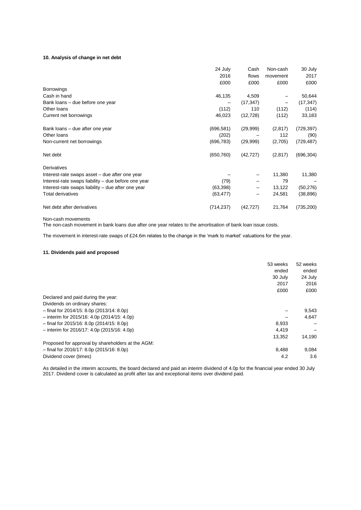## **10. Analysis of change in net debt**

|                                                     | 24 July    | Cash      | Non-cash | 30 July    |
|-----------------------------------------------------|------------|-----------|----------|------------|
|                                                     | 2016       | flows     | movement | 2017       |
|                                                     | £000       | £000      | £000     | £000       |
| <b>Borrowings</b>                                   |            |           |          |            |
| Cash in hand                                        | 46,135     | 4,509     |          | 50,644     |
| Bank loans – due before one year                    |            | (17, 347) |          | (17, 347)  |
| Other loans                                         | (112)      | 110       | (112)    | (114)      |
| Current net borrowings                              | 46,023     | (12, 728) | (112)    | 33,183     |
| Bank loans – due after one year                     | (696, 581) | (29,999)  | (2,817)  | (729, 397) |
| Other loans                                         | (202)      |           | 112      | (90)       |
| Non-current net borrowings                          | (696, 783) | (29,999)  | (2,705)  | (729, 487) |
| Net debt                                            | (650, 760) | (42, 727) | (2, 817) | (696, 304) |
| <b>Derivatives</b>                                  |            |           |          |            |
| Interest-rate swaps asset – due after one year      |            |           | 11,380   | 11,380     |
| Interest-rate swaps liability - due before one year | (79)       |           | 79       |            |
| Interest-rate swaps liability – due after one year  | (63, 398)  |           | 13,122   | (50, 276)  |
| <b>Total derivatives</b>                            | (63, 477)  |           | 24,581   | (38, 896)  |
| Net debt after derivatives                          | (714, 237) | (42, 727) | 21,764   | (735, 200) |

Non-cash movements

The non-cash movement in bank loans due after one year relates to the amortisation of bank loan issue costs.

The movement in interest-rate swaps of £24.6m relates to the change in the 'mark to market' valuations for the year.

## **11. Dividends paid and proposed**

|                                                   | 53 weeks | 52 weeks |
|---------------------------------------------------|----------|----------|
|                                                   | ended    | ended    |
|                                                   | 30 July  | 24 July  |
|                                                   | 2017     | 2016     |
|                                                   | £000     | £000     |
| Declared and paid during the year:                |          |          |
| Dividends on ordinary shares:                     |          |          |
| $-$ final for 2014/15: 8.0p (2013/14: 8.0p)       |          | 9,543    |
| $-$ interim for 2015/16: 4.0p (2014/15: 4.0p)     |          | 4,647    |
| $-$ final for 2015/16: 8.0p (2014/15: 8.0p)       | 8,933    |          |
| $-$ interim for 2016/17: 4.0p (2015/16: 4.0p)     | 4,419    |          |
|                                                   | 13,352   | 14,190   |
| Proposed for approval by shareholders at the AGM: |          |          |
| $-$ final for 2016/17: 8.0p (2015/16: 8.0p)       | 8.488    | 9.084    |
| Dividend cover (times)                            | 4.2      | 3.6      |

As detailed in the interim accounts, the board declared and paid an interim dividend of 4.0p for the financial year ended 30 July 2017. Dividend cover is calculated as profit after tax and exceptional items over dividend paid.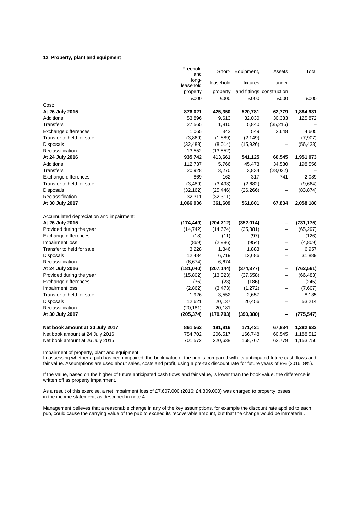#### **12. Property, plant and equipment**

|                                          | Freehold<br>and    |            | Short- Equipment, | Assets                    | Total      |
|------------------------------------------|--------------------|------------|-------------------|---------------------------|------------|
|                                          | long-<br>leasehold | leasehold  | fixtures          | under                     |            |
|                                          | property           | property   |                   | and fittings construction |            |
|                                          | £000               | £000       | £000              | £000                      | £000       |
| Cost:                                    |                    |            |                   |                           |            |
| At 26 July 2015                          | 876,021            | 425,350    | 520,781           | 62,779                    | 1,884,931  |
| <b>Additions</b>                         | 53,896             | 9,613      | 32,030            | 30,333                    | 125,872    |
| Transfers                                | 27,565             | 1,810      | 5,840             | (35, 215)                 |            |
| Exchange differences                     | 1,065              | 343        | 549               | 2,648                     | 4,605      |
| Transfer to held for sale                | (3,869)            | (1,889)    | (2, 149)          |                           | (7,907)    |
| Disposals                                | (32, 488)          | (8,014)    | (15, 926)         | $\qquad \qquad -$         | (56, 428)  |
| Reclassification                         | 13,552             | (13, 552)  |                   |                           |            |
| At 24 July 2016                          | 935,742            | 413,661    | 541,125           | 60,545                    | 1,951,073  |
| <b>Additions</b>                         | 112,737            | 5,766      | 45,473            | 34,580                    | 198,556    |
| Transfers                                | 20,928             | 3,270      | 3,834             | (28,032)                  |            |
| Exchange differences                     | 869                | 162        | 317               | 741                       | 2,089      |
| Transfer to held for sale                | (3,489)            | (3, 493)   | (2,682)           |                           | (9,664)    |
| Disposals                                | (32, 162)          | (25, 446)  | (26, 266)         | $\overline{\phantom{0}}$  | (83, 874)  |
| Reclassification                         | 32,311             | (32, 311)  |                   |                           |            |
| At 30 July 2017                          | 1,066,936          | 361,609    | 561,801           | 67,834                    | 2,058,180  |
| Accumulated depreciation and impairment: |                    |            |                   |                           |            |
| At 26 July 2015                          | (174,449)          | (204, 712) | (352, 014)        | -                         | (731, 175) |
| Provided during the year                 | (14, 742)          | (14, 674)  | (35, 881)         | $\overline{\phantom{0}}$  | (65, 297)  |
| Exchange differences                     | (18)               | (11)       | (97)              |                           | (126)      |
| Impairment loss                          | (869)              | (2,986)    | (954)             |                           | (4,809)    |
| Transfer to held for sale                | 3,228              | 1,846      | 1,883             | $\overline{\phantom{0}}$  | 6,957      |
| Disposals                                | 12,484             | 6,719      | 12,686            | $\overline{\phantom{0}}$  | 31,889     |
| Reclassification                         | (6,674)            | 6,674      |                   |                           |            |
| At 24 July 2016                          | (181, 040)         | (207, 144) | (374, 377)        | -                         | (762, 561) |
| Provided during the year                 | (15, 802)          | (13,023)   | (37, 658)         |                           | (66, 483)  |
| Exchange differences                     | (36)               | (23)       | (186)             | —                         | (245)      |
| Impairment loss                          | (2,862)            | (3, 473)   | (1, 272)          | —                         | (7,607)    |
| Transfer to held for sale                | 1,926              | 3,552      | 2,657             | $\overline{\phantom{0}}$  | 8,135      |
| Disposals                                | 12,621             | 20,137     | 20,456            | $\qquad \qquad -$         | 53,214     |
| Reclassification                         | (20, 181)          | 20,181     |                   |                           |            |
| At 30 July 2017                          | (205, 374)         | (179, 793) | (390, 380)        | -                         | (775, 547) |
| Net book amount at 30 July 2017          | 861,562            | 181,816    | 171,421           | 67,834                    | 1,282,633  |
| Net book amount at 24 July 2016          | 754,702            | 206,517    | 166,748           | 60,545                    | 1,188,512  |
| Net book amount at 26 July 2015          | 701,572            | 220,638    | 168,767           | 62,779                    | 1,153,756  |

Impairment of property, plant and equipment

In assessing whether a pub has been impaired, the book value of the pub is compared with its anticipated future cash flows and fair value. Assumptions are used about sales, costs and profit, using a pre-tax discount rate for future years of 8% (2016: 8%).

If the value, based on the higher of future anticipated cash flows and fair value, is lower than the book value, the difference is written off as property impairment.

As a result of this exercise, a net impairment loss of £7,607,000 (2016: £4,809,000) was charged to property losses in the income statement, as described in note 4.

Management believes that a reasonable change in any of the key assumptions, for example the discount rate applied to each pub, could cause the carrying value of the pub to exceed its recoverable amount, but that the change would be immaterial.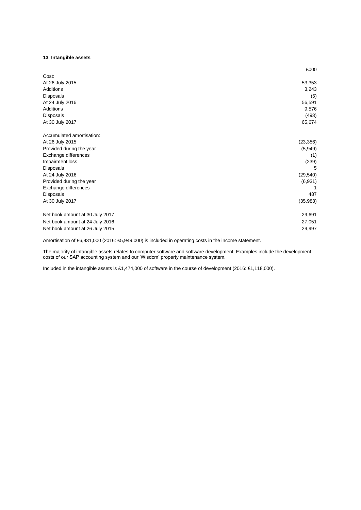## **13. Intangible assets**

|                                 | £000      |
|---------------------------------|-----------|
| Cost:                           |           |
| At 26 July 2015                 | 53,353    |
| Additions                       | 3,243     |
| <b>Disposals</b>                | (5)       |
| At 24 July 2016                 | 56,591    |
| Additions                       | 9,576     |
| Disposals                       | (493)     |
| At 30 July 2017                 | 65,674    |
| Accumulated amortisation:       |           |
| At 26 July 2015                 | (23, 356) |
| Provided during the year        | (5,949)   |
| Exchange differences            | (1)       |
| Impairment loss                 | (239)     |
| <b>Disposals</b>                | 5         |
| At 24 July 2016                 | (29, 540) |
| Provided during the year        | (6,931)   |
| Exchange differences            | 1         |
| Disposals                       | 487       |
| At 30 July 2017                 | (35, 983) |
| Net book amount at 30 July 2017 | 29,691    |
| Net book amount at 24 July 2016 | 27,051    |
| Net book amount at 26 July 2015 | 29,997    |

Amortisation of £6,931,000 (2016: £5,949,000) is included in operating costs in the income statement.

The majority of intangible assets relates to computer software and software development. Examples include the development costs of our SAP accounting system and our 'Wisdom' property maintenance system.

Included in the intangible assets is £1,474,000 of software in the course of development (2016: £1,118,000).